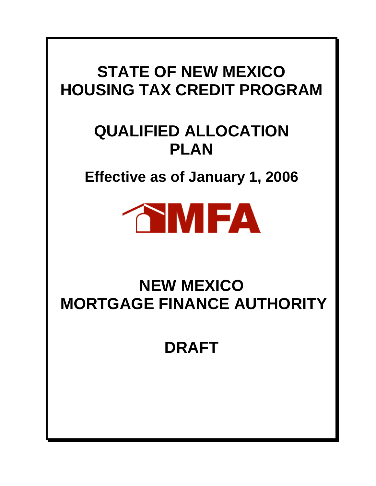# **STATE OF NEW MEXICO HOUSING TAX CREDIT PROGRAM**

# **QUALIFIED ALLOCATION PLAN**

**Effective as of January 1, 2006** 



# **NEW MEXICO MORTGAGE FINANCE AUTHORITY**

**DRAFT**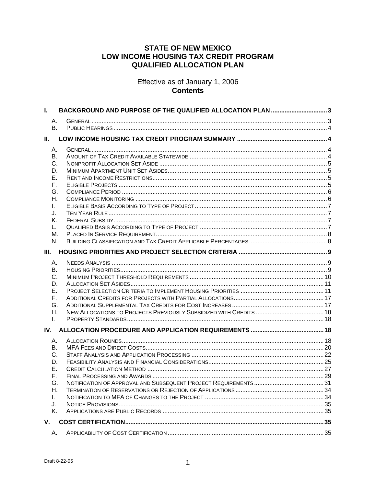# **STATE OF NEW MEXICO** LOW INCOME HOUSING TAX CREDIT PROGRAM **QUALIFIED ALLOCATION PLAN**

Effective as of January 1, 2006 **Contents** 

| L.        | BACKGROUND AND PURPOSE OF THE QUALIFIED ALLOCATION PLAN 3 |  |
|-----------|-----------------------------------------------------------|--|
| А.        |                                                           |  |
| <b>B.</b> |                                                           |  |
| Ш.        |                                                           |  |
| А.        |                                                           |  |
| В.        |                                                           |  |
| С.        |                                                           |  |
| D.        |                                                           |  |
| Е.        |                                                           |  |
| F.<br>G.  |                                                           |  |
| Η.        |                                                           |  |
| L.        |                                                           |  |
| J.        |                                                           |  |
| Κ.        |                                                           |  |
| L.        |                                                           |  |
| М.        |                                                           |  |
| N.        |                                                           |  |
| III.      |                                                           |  |
| А.        |                                                           |  |
| В.        |                                                           |  |
| C.        |                                                           |  |
| D.        |                                                           |  |
| Е.<br>F.  |                                                           |  |
| G.        |                                                           |  |
| Η.        |                                                           |  |
| I.        |                                                           |  |
| IV.       |                                                           |  |
| А.        |                                                           |  |
| В.        |                                                           |  |
| C.        |                                                           |  |
| D.        |                                                           |  |
| Е.        |                                                           |  |
| F.        |                                                           |  |
| G.<br>Η.  |                                                           |  |
| L.        |                                                           |  |
| J.        |                                                           |  |
| Κ.        |                                                           |  |
| V.        |                                                           |  |
| А.        |                                                           |  |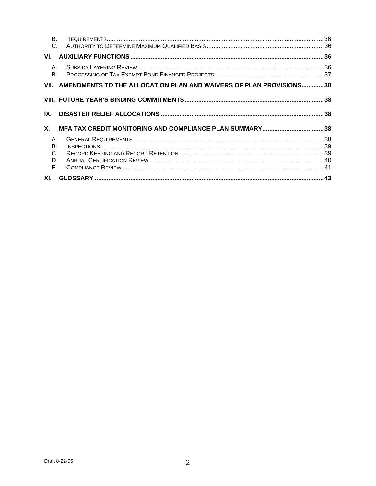| <b>B.</b><br>$\mathsf{C}$  |                                                                         |  |
|----------------------------|-------------------------------------------------------------------------|--|
| VI.                        |                                                                         |  |
| $A_{1}$<br>$B_{\cdot}$     |                                                                         |  |
|                            | VII. AMENDMENTS TO THE ALLOCATION PLAN AND WAIVERS OF PLAN PROVISIONS38 |  |
|                            |                                                                         |  |
| IX.                        |                                                                         |  |
| Х.                         |                                                                         |  |
| Α.<br>В.<br>C.<br>D.<br>Е. |                                                                         |  |
|                            |                                                                         |  |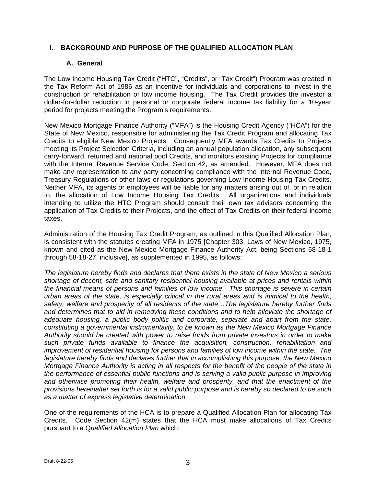# **I. BACKGROUND AND PURPOSE OF THE QUALIFIED ALLOCATION PLAN**

## **A. General**

The Low Income Housing Tax Credit ("HTC", "Credits", or "Tax Credit") Program was created in the Tax Reform Act of 1986 as an incentive for individuals and corporations to invest in the construction or rehabilitation of low income housing. The Tax Credit provides the investor a dollar-for-dollar reduction in personal or corporate federal income tax liability for a 10-year period for projects meeting the Program's requirements.

New Mexico Mortgage Finance Authority ("MFA") is the Housing Credit Agency ("HCA") for the State of New Mexico, responsible for administering the Tax Credit Program and allocating Tax Credits to eligible New Mexico Projects. Consequently MFA awards Tax Credits to Projects meeting its Project Selection Criteria, including an annual population allocation, any subsequent carry-forward, returned and national pool Credits, and monitors existing Projects for compliance with the Internal Revenue Service Code, Section 42, as amended. However, MFA does not make any representation to any party concerning compliance with the Internal Revenue Code, Treasury Regulations or other laws or regulations governing Low Income Housing Tax Credits. Neither MFA, its agents or employees will be liable for any matters arising out of, or in relation to, the allocation of Low Income Housing Tax Credits. All organizations and individuals intending to utilize the HTC Program should consult their own tax advisors concerning the application of Tax Credits to their Projects, and the effect of Tax Credits on their federal income taxes.

Administration of the Housing Tax Credit Program, as outlined in this Qualified Allocation Plan, is consistent with the statutes creating MFA in 1975 [Chapter 303, Laws of New Mexico, 1975, known and cited as the New Mexico Mortgage Finance Authority Act, being Sections 58-18-1 through 58-18-27, inclusive], as supplemented in 1995, as follows:

*The legislature hereby finds and declares that there exists in the state of New Mexico a serious shortage of decent, safe and sanitary residential housing available at prices and rentals within the financial means of persons and families of low income. This shortage is severe in certain urban areas of the state, is especially critical in the rural areas and is inimical to the health, safety, welfare and prosperity of all residents of the state…The legislature hereby further finds and determines that to aid in remedying these conditions and to help alleviate the shortage of adequate housing, a public body politic and corporate, separate and apart from the state, constituting a governmental instrumentality, to be known as the New Mexico Mortgage Finance Authority should be created with power to raise funds from private investors in order to make such private funds available to finance the acquisition, construction, rehabilitation and improvement of residential housing for persons and families of low income within the state. The legislature hereby finds and declares further that in accomplishing this purpose, the New Mexico Mortgage Finance Authority is acting in all respects for the benefit of the people of the state in the performance of essential public functions and is serving a valid public purpose in improving and otherwise promoting their health, welfare and prosperity, and that the enactment of the provisions hereinafter set forth is for a valid public purpose and is hereby so declared to be such as a matter of express legislative determination.* 

One of the requirements of the HCA is to prepare a Qualified Allocation Plan for allocating Tax Credits. Code Section 42(m) states that the HCA must make allocations of Tax Credits pursuant to a Q*ualified Allocation Plan* which: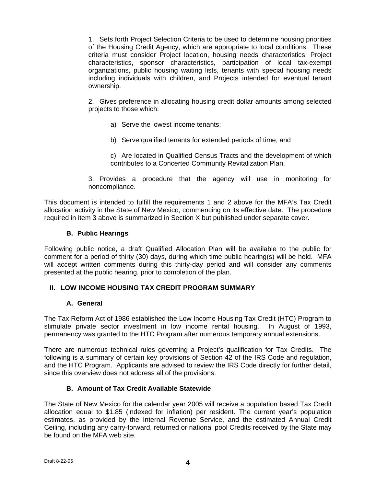1. Sets forth Project Selection Criteria to be used to determine housing priorities of the Housing Credit Agency, which are appropriate to local conditions. These criteria must consider Project location, housing needs characteristics, Project characteristics, sponsor characteristics, participation of local tax-exempt organizations, public housing waiting lists, tenants with special housing needs including individuals with children, and Projects intended for eventual tenant ownership.

2. Gives preference in allocating housing credit dollar amounts among selected projects to those which:

- a) Serve the lowest income tenants;
- b) Serve qualified tenants for extended periods of time; and
- c) Are located in Qualified Census Tracts and the development of which contributes to a Concerted Community Revitalization Plan.
- 3. Provides a procedure that the agency will use in monitoring for noncompliance.

This document is intended to fulfill the requirements 1 and 2 above for the MFA's Tax Credit allocation activity in the State of New Mexico, commencing on its effective date. The procedure required in item 3 above is summarized in Section X but published under separate cover.

## **B. Public Hearings**

Following public notice, a draft Qualified Allocation Plan will be available to the public for comment for a period of thirty (30) days, during which time public hearing(s) will be held. MFA will accept written comments during this thirty-day period and will consider any comments presented at the public hearing, prior to completion of the plan.

## **II. LOW INCOME HOUSING TAX CREDIT PROGRAM SUMMARY**

## **A. General**

The Tax Reform Act of 1986 established the Low Income Housing Tax Credit (HTC) Program to stimulate private sector investment in low income rental housing. In August of 1993, permanency was granted to the HTC Program after numerous temporary annual extensions.

There are numerous technical rules governing a Project's qualification for Tax Credits. The following is a summary of certain key provisions of Section 42 of the IRS Code and regulation, and the HTC Program. Applicants are advised to review the IRS Code directly for further detail, since this overview does not address all of the provisions.

## **B. Amount of Tax Credit Available Statewide**

The State of New Mexico for the calendar year 2005 will receive a population based Tax Credit allocation equal to \$1.85 (indexed for inflation) per resident. The current year's population estimates, as provided by the Internal Revenue Service, and the estimated Annual Credit Ceiling, including any carry-forward, returned or national pool Credits received by the State may be found on the MFA web site.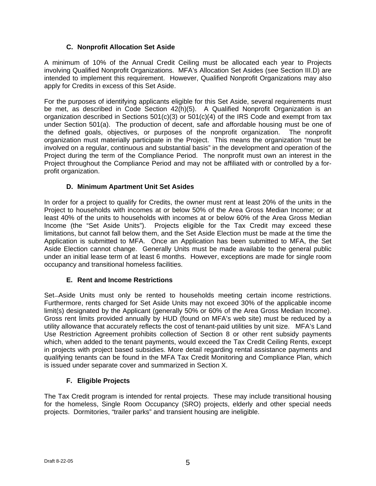# **C. Nonprofit Allocation Set Aside**

A minimum of 10% of the Annual Credit Ceiling must be allocated each year to Projects involving Qualified Nonprofit Organizations. MFA's Allocation Set Asides (see Section III.D) are intended to implement this requirement. However, Qualified Nonprofit Organizations may also apply for Credits in excess of this Set Aside.

For the purposes of identifying applicants eligible for this Set Aside, several requirements must be met, as described in Code Section 42(h)(5). A Qualified Nonprofit Organization is an organization described in Sections  $501(c)(3)$  or  $501(c)(4)$  of the IRS Code and exempt from tax under Section 501(a). The production of decent, safe and affordable housing must be one of the defined goals, objectives, or purposes of the nonprofit organization. The nonprofit organization must materially participate in the Project. This means the organization "must be involved on a regular, continuous and substantial basis" in the development and operation of the Project during the term of the Compliance Period. The nonprofit must own an interest in the Project throughout the Compliance Period and may not be affiliated with or controlled by a forprofit organization.

# **D. Minimum Apartment Unit Set Asides**

In order for a project to qualify for Credits, the owner must rent at least 20% of the units in the Project to households with incomes at or below 50% of the Area Gross Median Income; or at least 40% of the units to households with incomes at or below 60% of the Area Gross Median Income (the "Set Aside Units"). Projects eligible for the Tax Credit may exceed these limitations, but cannot fall below them, and the Set Aside Election must be made at the time the Application is submitted to MFA. Once an Application has been submitted to MFA, the Set Aside Election cannot change. Generally Units must be made available to the general public under an initial lease term of at least 6 months. However, exceptions are made for single room occupancy and transitional homeless facilities.

# **E. Rent and Income Restrictions**

Set-Aside Units must only be rented to households meeting certain income restrictions. Furthermore, rents charged for Set Aside Units may not exceed 30% of the applicable income limit(s) designated by the Applicant (generally 50% or 60% of the Area Gross Median Income). Gross rent limits provided annually by HUD (found on MFA's web site) must be reduced by a utility allowance that accurately reflects the cost of tenant-paid utilities by unit size. MFA's Land Use Restriction Agreement prohibits collection of Section 8 or other rent subsidy payments which, when added to the tenant payments, would exceed the Tax Credit Ceiling Rents, except in projects with project based subsidies. More detail regarding rental assistance payments and qualifying tenants can be found in the MFA Tax Credit Monitoring and Compliance Plan, which is issued under separate cover and summarized in Section X.

# **F. Eligible Projects**

The Tax Credit program is intended for rental projects. These may include transitional housing for the homeless, Single Room Occupancy (SRO) projects, elderly and other special needs projects. Dormitories, "trailer parks" and transient housing are ineligible.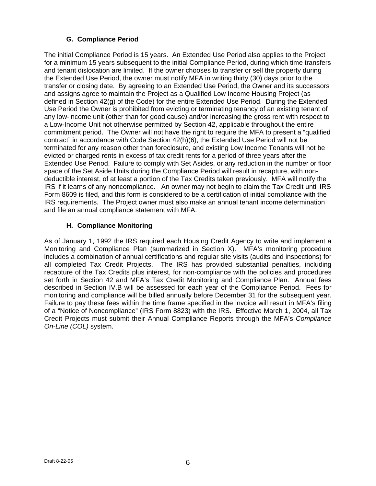# **G. Compliance Period**

The initial Compliance Period is 15 years. An Extended Use Period also applies to the Project for a minimum 15 years subsequent to the initial Compliance Period, during which time transfers and tenant dislocation are limited. If the owner chooses to transfer or sell the property during the Extended Use Period, the owner must notify MFA in writing thirty (30) days prior to the transfer or closing date. By agreeing to an Extended Use Period, the Owner and its successors and assigns agree to maintain the Project as a Qualified Low Income Housing Project (as defined in Section 42(g) of the Code) for the entire Extended Use Period. During the Extended Use Period the Owner is prohibited from evicting or terminating tenancy of an existing tenant of any low-income unit (other than for good cause) and/or increasing the gross rent with respect to a Low-Income Unit not otherwise permitted by Section 42, applicable throughout the entire commitment period. The Owner will not have the right to require the MFA to present a "qualified contract" in accordance with Code Section 42(h)(6), the Extended Use Period will not be terminated for any reason other than foreclosure, and existing Low Income Tenants will not be evicted or charged rents in excess of tax credit rents for a period of three years after the Extended Use Period. Failure to comply with Set Asides, or any reduction in the number or floor space of the Set Aside Units during the Compliance Period will result in recapture, with nondeductible interest, of at least a portion of the Tax Credits taken previously. MFA will notify the IRS if it learns of any noncompliance. An owner may not begin to claim the Tax Credit until IRS Form 8609 is filed, and this form is considered to be a certification of initial compliance with the IRS requirements. The Project owner must also make an annual tenant income determination and file an annual compliance statement with MFA.

# **H. Compliance Monitoring**

As of January 1, 1992 the IRS required each Housing Credit Agency to write and implement a Monitoring and Compliance Plan (summarized in Section X). MFA's monitoring procedure includes a combination of annual certifications and regular site visits (audits and inspections) for all completed Tax Credit Projects. The IRS has provided substantial penalties, including recapture of the Tax Credits plus interest, for non-compliance with the policies and procedures set forth in Section 42 and MFA's Tax Credit Monitoring and Compliance Plan. Annual fees described in Section IV.B will be assessed for each year of the Compliance Period. Fees for monitoring and compliance will be billed annually before December 31 for the subsequent year. Failure to pay these fees within the time frame specified in the invoice will result in MFA's filing of a "Notice of Noncompliance" (IRS Form 8823) with the IRS. Effective March 1, 2004, all Tax Credit Projects must submit their Annual Compliance Reports through the MFA's *Compliance On-Line (COL)* system.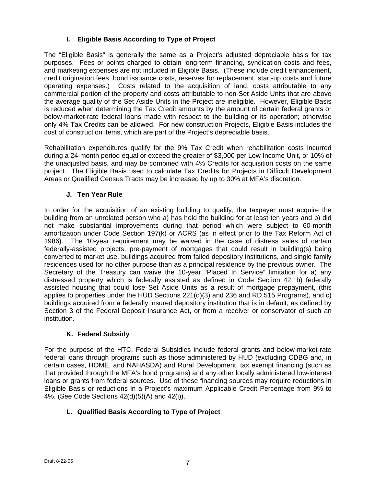# **I. Eligible Basis According to Type of Project**

The "Eligible Basis" is generally the same as a Project's adjusted depreciable basis for tax purposes. Fees or points charged to obtain long-term financing, syndication costs and fees, and marketing expenses are not included in Eligible Basis. (These include credit enhancement, credit origination fees, bond issuance costs, reserves for replacement, start-up costs and future operating expenses.) Costs related to the acquisition of land, costs attributable to any commercial portion of the property and costs attributable to non-Set Aside Units that are above the average quality of the Set Aside Units in the Project are ineligible. However, Eligible Basis is reduced when determining the Tax Credit amounts by the amount of certain federal grants or below-market-rate federal loans made with respect to the building or its operation; otherwise only 4% Tax Credits can be allowed. For new construction Projects, Eligible Basis includes the cost of construction items, which are part of the Project's depreciable basis.

Rehabilitation expenditures qualify for the 9% Tax Credit when rehabilitation costs incurred during a 24-month period equal or exceed the greater of \$3,000 per Low Income Unit, or 10% of the unadjusted basis, and may be combined with 4% Credits for acquisition costs on the same project. The Eligible Basis used to calculate Tax Credits for Projects in Difficult Development Areas or Qualified Census Tracts may be increased by up to 30% at MFA's discretion.

# **J. Ten Year Rule**

In order for the acquisition of an existing building to qualify, the taxpayer must acquire the building from an unrelated person who a) has held the building for at least ten years and b) did not make substantial improvements during that period which were subject to 60-month amortization under Code Section 197(k) or ACRS (as in effect prior to the Tax Reform Act of 1986). The 10-year requirement may be waived in the case of distress sales of certain federally-assisted projects, pre-payment of mortgages that could result in building(s) being converted to market use, buildings acquired from failed depository institutions, and single family residences used for no other purpose than as a principal residence by the previous owner. The Secretary of the Treasury can waive the 10-year "Placed In Service" limitation for a) any distressed property which is federally assisted as defined in Code Section 42, b) federally assisted housing that could lose Set Aside Units as a result of mortgage prepayment, (this applies to properties under the HUD Sections  $221(d)(3)$  and  $236$  and RD 515 Programs), and c) buildings acquired from a federally insured depository institution that is in default, as defined by Section 3 of the Federal Deposit Insurance Act, or from a receiver or conservator of such an institution.

# **K. Federal Subsidy**

For the purpose of the HTC, Federal Subsidies include federal grants and below-market-rate federal loans through programs such as those administered by HUD (excluding CDBG and, in certain cases, HOME, and NAHASDA) and Rural Development, tax exempt financing (such as that provided through the MFA's bond programs) and any other locally administered low-interest loans or grants from federal sources. Use of these financing sources may require reductions in Eligible Basis or reductions in a Project's maximum Applicable Credit Percentage from 9% to 4%. (See Code Sections 42(d)(5)(A) and 42(i)).

# **L. Qualified Basis According to Type of Project**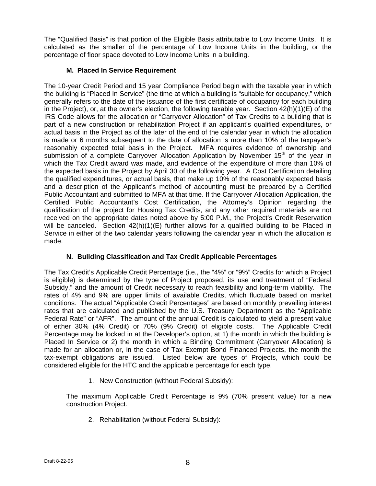The "Qualified Basis" is that portion of the Eligible Basis attributable to Low Income Units. It is calculated as the smaller of the percentage of Low Income Units in the building, or the percentage of floor space devoted to Low Income Units in a building.

# **M. Placed In Service Requirement**

The 10-year Credit Period and 15 year Compliance Period begin with the taxable year in which the building is "Placed In Service" (the time at which a building is "suitable for occupancy," which generally refers to the date of the issuance of the first certificate of occupancy for each building in the Project), or, at the owner's election, the following taxable year. Section  $42(h)(1)(E)$  of the IRS Code allows for the allocation or "Carryover Allocation" of Tax Credits to a building that is part of a new construction or rehabilitation Project if an applicant's qualified expenditures, or actual basis in the Project as of the later of the end of the calendar year in which the allocation is made or 6 months subsequent to the date of allocation is more than 10% of the taxpayer's reasonably expected total basis in the Project. MFA requires evidence of ownership and submission of a complete Carryover Allocation Application by November  $15<sup>th</sup>$  of the year in which the Tax Credit award was made, and evidence of the expenditure of more than 10% of the expected basis in the Project by April 30 of the following year. A Cost Certification detailing the qualified expenditures, or actual basis, that make up 10% of the reasonably expected basis and a description of the Applicant's method of accounting must be prepared by a Certified Public Accountant and submitted to MFA at that time. If the Carryover Allocation Application, the Certified Public Accountant's Cost Certification, the Attorney's Opinion regarding the qualification of the project for Housing Tax Credits, and any other required materials are not received on the appropriate dates noted above by 5:00 P.M., the Project's Credit Reservation will be canceled. Section  $42(h)(1)(E)$  further allows for a qualified building to be Placed in Service in either of the two calendar years following the calendar year in which the allocation is made.

# **N. Building Classification and Tax Credit Applicable Percentages**

The Tax Credit's Applicable Credit Percentage (i.e., the "4%" or "9%" Credits for which a Project is eligible) is determined by the type of Project proposed, its use and treatment of "Federal Subsidy," and the amount of Credit necessary to reach feasibility and long-term viability. The rates of 4% and 9% are upper limits of available Credits, which fluctuate based on market conditions. The actual "Applicable Credit Percentages" are based on monthly prevailing interest rates that are calculated and published by the U.S. Treasury Department as the "Applicable Federal Rate" or "AFR". The amount of the annual Credit is calculated to yield a present value of either 30% (4% Credit) or 70% (9% Credit) of eligible costs. The Applicable Credit Percentage may be locked in at the Developer's option, at 1) the month in which the building is Placed In Service or 2) the month in which a Binding Commitment (Carryover Allocation) is made for an allocation or, in the case of Tax Exempt Bond Financed Projects, the month the tax-exempt obligations are issued. Listed below are types of Projects, which could be considered eligible for the HTC and the applicable percentage for each type.

1. New Construction (without Federal Subsidy):

The maximum Applicable Credit Percentage is 9% (70% present value) for a new construction Project.

2. Rehabilitation (without Federal Subsidy):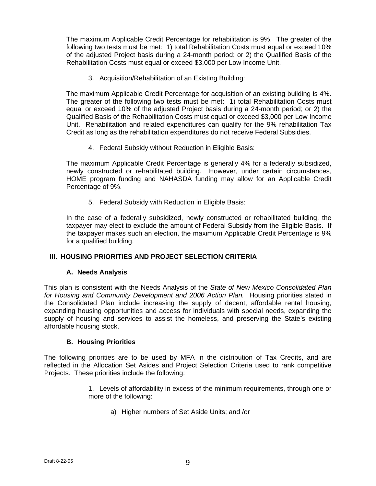The maximum Applicable Credit Percentage for rehabilitation is 9%. The greater of the following two tests must be met: 1) total Rehabilitation Costs must equal or exceed 10% of the adjusted Project basis during a 24-month period; or 2) the Qualified Basis of the Rehabilitation Costs must equal or exceed \$3,000 per Low Income Unit.

3. Acquisition/Rehabilitation of an Existing Building:

The maximum Applicable Credit Percentage for acquisition of an existing building is 4%. The greater of the following two tests must be met: 1) total Rehabilitation Costs must equal or exceed 10% of the adjusted Project basis during a 24-month period; or 2) the Qualified Basis of the Rehabilitation Costs must equal or exceed \$3,000 per Low Income Unit. Rehabilitation and related expenditures can qualify for the 9% rehabilitation Tax Credit as long as the rehabilitation expenditures do not receive Federal Subsidies.

4. Federal Subsidy without Reduction in Eligible Basis:

The maximum Applicable Credit Percentage is generally 4% for a federally subsidized, newly constructed or rehabilitated building. However, under certain circumstances, HOME program funding and NAHASDA funding may allow for an Applicable Credit Percentage of 9%.

5. Federal Subsidy with Reduction in Eligible Basis:

In the case of a federally subsidized, newly constructed or rehabilitated building, the taxpayer may elect to exclude the amount of Federal Subsidy from the Eligible Basis. If the taxpayer makes such an election, the maximum Applicable Credit Percentage is 9% for a qualified building.

## **III. HOUSING PRIORITIES AND PROJECT SELECTION CRITERIA**

## **A. Needs Analysis**

This plan is consistent with the Needs Analysis of the *State of New Mexico Consolidated Plan for Housing and Community Development and 2006 Action Plan.* Housing priorities stated in the Consolidated Plan include increasing the supply of decent, affordable rental housing, expanding housing opportunities and access for individuals with special needs, expanding the supply of housing and services to assist the homeless, and preserving the State's existing affordable housing stock.

## **B. Housing Priorities**

The following priorities are to be used by MFA in the distribution of Tax Credits, and are reflected in the Allocation Set Asides and Project Selection Criteria used to rank competitive Projects. These priorities include the following:

- 1. Levels of affordability in excess of the minimum requirements, through one or more of the following:
	- a) Higher numbers of Set Aside Units; and /or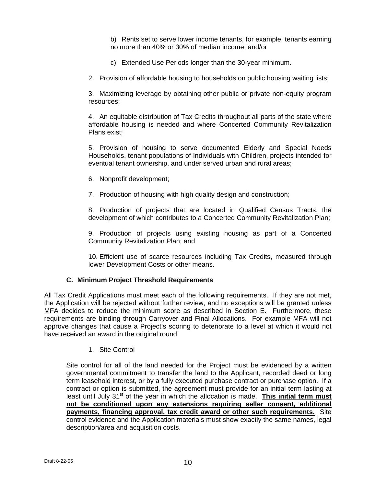b) Rents set to serve lower income tenants, for example, tenants earning no more than 40% or 30% of median income; and/or

- c) Extended Use Periods longer than the 30-year minimum.
- 2. Provision of affordable housing to households on public housing waiting lists;

3. Maximizing leverage by obtaining other public or private non-equity program resources;

4. An equitable distribution of Tax Credits throughout all parts of the state where affordable housing is needed and where Concerted Community Revitalization Plans exist;

5. Provision of housing to serve documented Elderly and Special Needs Households, tenant populations of Individuals with Children, projects intended for eventual tenant ownership, and under served urban and rural areas;

- 6. Nonprofit development;
- 7. Production of housing with high quality design and construction;

8. Production of projects that are located in Qualified Census Tracts, the development of which contributes to a Concerted Community Revitalization Plan;

9. Production of projects using existing housing as part of a Concerted Community Revitalization Plan; and

10. Efficient use of scarce resources including Tax Credits, measured through lower Development Costs or other means.

## **C. Minimum Project Threshold Requirements**

All Tax Credit Applications must meet each of the following requirements. If they are not met, the Application will be rejected without further review, and no exceptions will be granted unless MFA decides to reduce the minimum score as described in Section E. Furthermore, these requirements are binding through Carryover and Final Allocations. For example MFA will not approve changes that cause a Project's scoring to deteriorate to a level at which it would not have received an award in the original round.

1. Site Control

Site control for all of the land needed for the Project must be evidenced by a written governmental commitment to transfer the land to the Applicant, recorded deed or long term leasehold interest, or by a fully executed purchase contract or purchase option. If a contract or option is submitted, the agreement must provide for an initial term lasting at least until July 31<sup>st</sup> of the year in which the allocation is made. **This initial term must not be conditioned upon any extensions requiring seller consent, additional payments, financing approval, tax credit award or other such requirements.** Site control evidence and the Application materials must show exactly the same names, legal description/area and acquisition costs.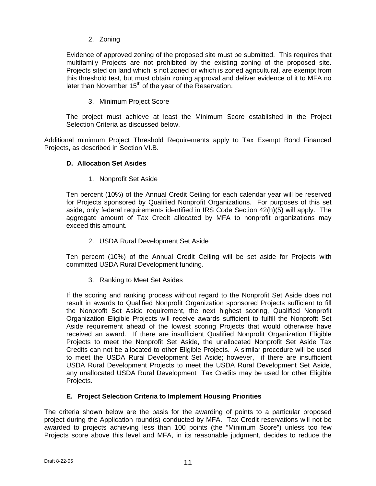2. Zoning

Evidence of approved zoning of the proposed site must be submitted. This requires that multifamily Projects are not prohibited by the existing zoning of the proposed site. Projects sited on land which is not zoned or which is zoned agricultural, are exempt from this threshold test, but must obtain zoning approval and deliver evidence of it to MFA no later than November  $15<sup>th</sup>$  of the year of the Reservation.

## 3. Minimum Project Score

The project must achieve at least the Minimum Score established in the Project Selection Criteria as discussed below.

Additional minimum Project Threshold Requirements apply to Tax Exempt Bond Financed Projects, as described in Section VI.B.

## **D. Allocation Set Asides**

1. Nonprofit Set Aside

Ten percent (10%) of the Annual Credit Ceiling for each calendar year will be reserved for Projects sponsored by Qualified Nonprofit Organizations. For purposes of this set aside, only federal requirements identified in IRS Code Section 42(h)(5) will apply. The aggregate amount of Tax Credit allocated by MFA to nonprofit organizations may exceed this amount.

2. USDA Rural Development Set Aside

Ten percent (10%) of the Annual Credit Ceiling will be set aside for Projects with committed USDA Rural Development funding.

3. Ranking to Meet Set Asides

If the scoring and ranking process without regard to the Nonprofit Set Aside does not result in awards to Qualified Nonprofit Organization sponsored Projects sufficient to fill the Nonprofit Set Aside requirement, the next highest scoring, Qualified Nonprofit Organization Eligible Projects will receive awards sufficient to fulfill the Nonprofit Set Aside requirement ahead of the lowest scoring Projects that would otherwise have received an award. If there are insufficient Qualified Nonprofit Organization Eligible Projects to meet the Nonprofit Set Aside, the unallocated Nonprofit Set Aside Tax Credits can not be allocated to other Eligible Projects. A similar procedure will be used to meet the USDA Rural Development Set Aside; however, if there are insufficient USDA Rural Development Projects to meet the USDA Rural Development Set Aside, any unallocated USDA Rural Development Tax Credits may be used for other Eligible Projects.

## **E. Project Selection Criteria to Implement Housing Priorities**

The criteria shown below are the basis for the awarding of points to a particular proposed project during the Application round(s) conducted by MFA. Tax Credit reservations will not be awarded to projects achieving less than 100 points (the "Minimum Score") unless too few Projects score above this level and MFA, in its reasonable judgment, decides to reduce the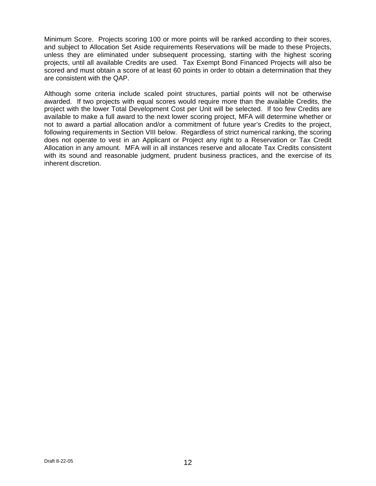Minimum Score. Projects scoring 100 or more points will be ranked according to their scores, and subject to Allocation Set Aside requirements Reservations will be made to these Projects, unless they are eliminated under subsequent processing, starting with the highest scoring projects, until all available Credits are used. Tax Exempt Bond Financed Projects will also be scored and must obtain a score of at least 60 points in order to obtain a determination that they are consistent with the QAP.

Although some criteria include scaled point structures, partial points will not be otherwise awarded. If two projects with equal scores would require more than the available Credits, the project with the lower Total Development Cost per Unit will be selected. If too few Credits are available to make a full award to the next lower scoring project, MFA will determine whether or not to award a partial allocation and/or a commitment of future year's Credits to the project, following requirements in Section VIII below. Regardless of strict numerical ranking, the scoring does not operate to vest in an Applicant or Project any right to a Reservation or Tax Credit Allocation in any amount. MFA will in all instances reserve and allocate Tax Credits consistent with its sound and reasonable judgment, prudent business practices, and the exercise of its inherent discretion.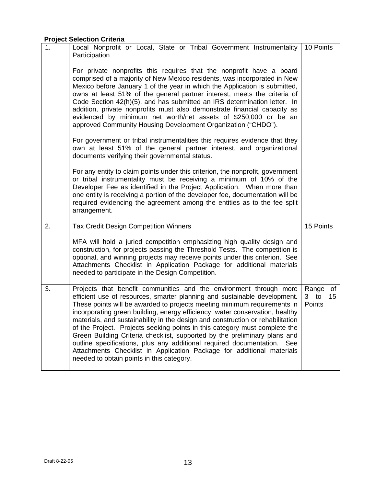# **Project Selection Criteria**

| 1. | Local Nonprofit or Local, State or Tribal Government Instrumentality<br>Participation                                                                                                                                                                                                                                                                                                                                                                                                                                                                                                                                                                                                                                                                        | 10 Points                                      |
|----|--------------------------------------------------------------------------------------------------------------------------------------------------------------------------------------------------------------------------------------------------------------------------------------------------------------------------------------------------------------------------------------------------------------------------------------------------------------------------------------------------------------------------------------------------------------------------------------------------------------------------------------------------------------------------------------------------------------------------------------------------------------|------------------------------------------------|
|    | For private nonprofits this requires that the nonprofit have a board<br>comprised of a majority of New Mexico residents, was incorporated in New<br>Mexico before January 1 of the year in which the Application is submitted,<br>owns at least 51% of the general partner interest, meets the criteria of<br>Code Section 42(h)(5), and has submitted an IRS determination letter. In<br>addition, private nonprofits must also demonstrate financial capacity as<br>evidenced by minimum net worth/net assets of \$250,000 or be an<br>approved Community Housing Development Organization ("CHDO").                                                                                                                                                       |                                                |
|    | For government or tribal instrumentalities this requires evidence that they<br>own at least 51% of the general partner interest, and organizational<br>documents verifying their governmental status.                                                                                                                                                                                                                                                                                                                                                                                                                                                                                                                                                        |                                                |
|    | For any entity to claim points under this criterion, the nonprofit, government<br>or tribal instrumentality must be receiving a minimum of 10% of the<br>Developer Fee as identified in the Project Application. When more than<br>one entity is receiving a portion of the developer fee, documentation will be<br>required evidencing the agreement among the entities as to the fee split<br>arrangement.                                                                                                                                                                                                                                                                                                                                                 |                                                |
| 2. | <b>Tax Credit Design Competition Winners</b><br>MFA will hold a juried competition emphasizing high quality design and<br>construction, for projects passing the Threshold Tests. The competition is<br>optional, and winning projects may receive points under this criterion. See<br>Attachments Checklist in Application Package for additional materials<br>needed to participate in the Design Competition.                                                                                                                                                                                                                                                                                                                                             | 15 Points                                      |
| 3. | Projects that benefit communities and the environment through more<br>efficient use of resources, smarter planning and sustainable development.<br>These points will be awarded to projects meeting minimum requirements in<br>incorporating green building, energy efficiency, water conservation, healthy<br>materials, and sustainability in the design and construction or rehabilitation<br>of the Project. Projects seeking points in this category must complete the<br>Green Building Criteria checklist, supported by the preliminary plans and<br>outline specifications, plus any additional required documentation.<br>See<br>Attachments Checklist in Application Package for additional materials<br>needed to obtain points in this category. | Range of<br>3 to<br>15 <sub>15</sub><br>Points |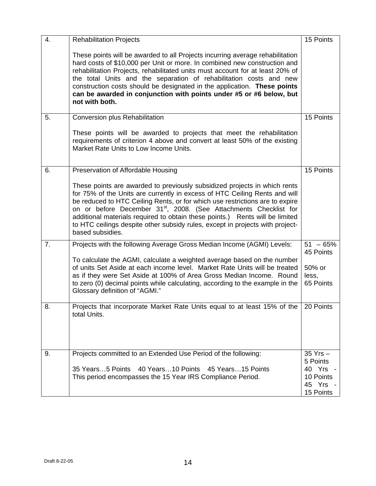| 4.             | <b>Rehabilitation Projects</b>                                                                                                                                                                                                                                                                                                                                                                                                                                                                                | 15 Points                                                  |
|----------------|---------------------------------------------------------------------------------------------------------------------------------------------------------------------------------------------------------------------------------------------------------------------------------------------------------------------------------------------------------------------------------------------------------------------------------------------------------------------------------------------------------------|------------------------------------------------------------|
|                | These points will be awarded to all Projects incurring average rehabilitation<br>hard costs of \$10,000 per Unit or more. In combined new construction and<br>rehabilitation Projects, rehabilitated units must account for at least 20% of<br>the total Units and the separation of rehabilitation costs and new<br>construction costs should be designated in the application. These points<br>can be awarded in conjunction with points under #5 or #6 below, but<br>not with both.                        |                                                            |
| 5.             | Conversion plus Rehabilitation                                                                                                                                                                                                                                                                                                                                                                                                                                                                                | 15 Points                                                  |
|                | These points will be awarded to projects that meet the rehabilitation<br>requirements of criterion 4 above and convert at least 50% of the existing<br>Market Rate Units to Low Income Units.                                                                                                                                                                                                                                                                                                                 |                                                            |
| 6.             | Preservation of Affordable Housing                                                                                                                                                                                                                                                                                                                                                                                                                                                                            | 15 Points                                                  |
|                | These points are awarded to previously subsidized projects in which rents<br>for 75% of the Units are currently in excess of HTC Ceiling Rents and will<br>be reduced to HTC Ceiling Rents, or for which use restrictions are to expire<br>on or before December 31 <sup>st</sup> , 2008. (See Attachments Checklist for<br>additional materials required to obtain these points.) Rents will be limited<br>to HTC ceilings despite other subsidy rules, except in projects with project-<br>based subsidies. |                                                            |
| 7 <sub>1</sub> | Projects with the following Average Gross Median Income (AGMI) Levels:                                                                                                                                                                                                                                                                                                                                                                                                                                        | $51 - 65%$<br>45 Points                                    |
|                | To calculate the AGMI, calculate a weighted average based on the number<br>of units Set Aside at each income level. Market Rate Units will be treated<br>as if they were Set Aside at 100% of Area Gross Median Income. Round<br>to zero (0) decimal points while calculating, according to the example in the<br>Glossary definition of "AGMI."                                                                                                                                                              | 50% or<br>less,<br>65 Points                               |
| 8.             | Projects that incorporate Market Rate Units equal to at least 15% of the<br>total Units.                                                                                                                                                                                                                                                                                                                                                                                                                      | 20 Points                                                  |
| 9.             | Projects committed to an Extended Use Period of the following:                                                                                                                                                                                                                                                                                                                                                                                                                                                | 35 Yrs -                                                   |
|                | 35 Years5 Points 40 Years10 Points 45 Years15 Points<br>This period encompasses the 15 Year IRS Compliance Period.                                                                                                                                                                                                                                                                                                                                                                                            | 5 Points<br>40 Yrs -<br>10 Points<br>45 Yrs -<br>15 Points |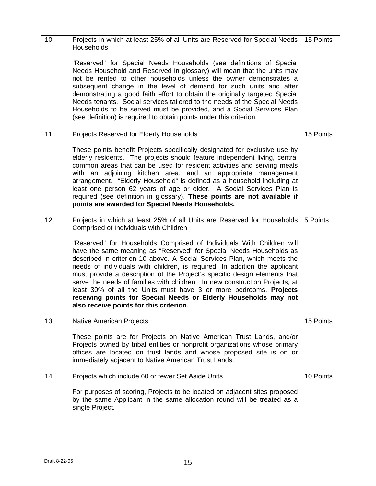| 10. | Projects in which at least 25% of all Units are Reserved for Special Needs   15 Points<br>Households                                                                                                                                                                                                                                                                                                                                                                                                                                                                                                                                                   |           |
|-----|--------------------------------------------------------------------------------------------------------------------------------------------------------------------------------------------------------------------------------------------------------------------------------------------------------------------------------------------------------------------------------------------------------------------------------------------------------------------------------------------------------------------------------------------------------------------------------------------------------------------------------------------------------|-----------|
|     | "Reserved" for Special Needs Households (see definitions of Special<br>Needs Household and Reserved in glossary) will mean that the units may<br>not be rented to other households unless the owner demonstrates a<br>subsequent change in the level of demand for such units and after<br>demonstrating a good faith effort to obtain the originally targeted Special<br>Needs tenants. Social services tailored to the needs of the Special Needs<br>Households to be served must be provided, and a Social Services Plan<br>(see definition) is required to obtain points under this criterion.                                                     |           |
| 11. | Projects Reserved for Elderly Households                                                                                                                                                                                                                                                                                                                                                                                                                                                                                                                                                                                                               | 15 Points |
|     | These points benefit Projects specifically designated for exclusive use by<br>elderly residents. The projects should feature independent living, central<br>common areas that can be used for resident activities and serving meals<br>with an adjoining kitchen area, and an appropriate management<br>arrangement. "Elderly Household" is defined as a household including at<br>least one person 62 years of age or older. A Social Services Plan is<br>required (see definition in glossary). These points are not available if<br>points are awarded for Special Needs Households.                                                                |           |
| 12. | Projects in which at least 25% of all Units are Reserved for Households<br>Comprised of Individuals with Children                                                                                                                                                                                                                                                                                                                                                                                                                                                                                                                                      | 5 Points  |
|     | "Reserved" for Households Comprised of Individuals With Children will<br>have the same meaning as "Reserved" for Special Needs Households as<br>described in criterion 10 above. A Social Services Plan, which meets the<br>needs of individuals with children, is required. In addition the applicant<br>must provide a description of the Project's specific design elements that<br>serve the needs of families with children. In new construction Projects, at<br>least 30% of all the Units must have 3 or more bedrooms. Projects<br>receiving points for Special Needs or Elderly Households may not<br>also receive points for this criterion. |           |
| 13. | Native American Projects                                                                                                                                                                                                                                                                                                                                                                                                                                                                                                                                                                                                                               | 15 Points |
|     | These points are for Projects on Native American Trust Lands, and/or<br>Projects owned by tribal entities or nonprofit organizations whose primary<br>offices are located on trust lands and whose proposed site is on or<br>immediately adjacent to Native American Trust Lands.                                                                                                                                                                                                                                                                                                                                                                      |           |
| 14. | Projects which include 60 or fewer Set Aside Units                                                                                                                                                                                                                                                                                                                                                                                                                                                                                                                                                                                                     | 10 Points |
|     | For purposes of scoring, Projects to be located on adjacent sites proposed<br>by the same Applicant in the same allocation round will be treated as a<br>single Project.                                                                                                                                                                                                                                                                                                                                                                                                                                                                               |           |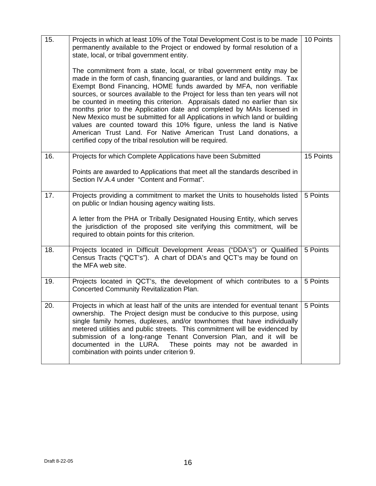| 15. | Projects in which at least 10% of the Total Development Cost is to be made<br>permanently available to the Project or endowed by formal resolution of a<br>state, local, or tribal government entity.<br>The commitment from a state, local, or tribal government entity may be<br>made in the form of cash, financing guaranties, or land and buildings. Tax<br>Exempt Bond Financing, HOME funds awarded by MFA, non verifiable<br>sources, or sources available to the Project for less than ten years will not<br>be counted in meeting this criterion. Appraisals dated no earlier than six<br>months prior to the Application date and completed by MAIs licensed in<br>New Mexico must be submitted for all Applications in which land or building<br>values are counted toward this 10% figure, unless the land is Native<br>American Trust Land. For Native American Trust Land donations, a<br>certified copy of the tribal resolution will be required. | 10 Points |
|-----|--------------------------------------------------------------------------------------------------------------------------------------------------------------------------------------------------------------------------------------------------------------------------------------------------------------------------------------------------------------------------------------------------------------------------------------------------------------------------------------------------------------------------------------------------------------------------------------------------------------------------------------------------------------------------------------------------------------------------------------------------------------------------------------------------------------------------------------------------------------------------------------------------------------------------------------------------------------------|-----------|
| 16. | Projects for which Complete Applications have been Submitted<br>Points are awarded to Applications that meet all the standards described in<br>Section IV.A.4 under "Content and Format".                                                                                                                                                                                                                                                                                                                                                                                                                                                                                                                                                                                                                                                                                                                                                                          | 15 Points |
| 17. | Projects providing a commitment to market the Units to households listed<br>on public or Indian housing agency waiting lists.<br>A letter from the PHA or Tribally Designated Housing Entity, which serves<br>the jurisdiction of the proposed site verifying this commitment, will be<br>required to obtain points for this criterion.                                                                                                                                                                                                                                                                                                                                                                                                                                                                                                                                                                                                                            | 5 Points  |
| 18. | Projects located in Difficult Development Areas ("DDA's") or Qualified<br>Census Tracts ("QCT's"). A chart of DDA's and QCT's may be found on<br>the MFA web site.                                                                                                                                                                                                                                                                                                                                                                                                                                                                                                                                                                                                                                                                                                                                                                                                 | 5 Points  |
| 19. | Projects located in QCT's, the development of which contributes to a<br><b>Concerted Community Revitalization Plan.</b>                                                                                                                                                                                                                                                                                                                                                                                                                                                                                                                                                                                                                                                                                                                                                                                                                                            | 5 Points  |
| 20. | Projects in which at least half of the units are intended for eventual tenant<br>ownership. The Project design must be conducive to this purpose, using<br>single family homes, duplexes, and/or townhomes that have individually<br>metered utilities and public streets. This commitment will be evidenced by<br>submission of a long-range Tenant Conversion Plan, and it will be<br>documented in the LURA.<br>These points may not be awarded in<br>combination with points under criterion 9.                                                                                                                                                                                                                                                                                                                                                                                                                                                                | 5 Points  |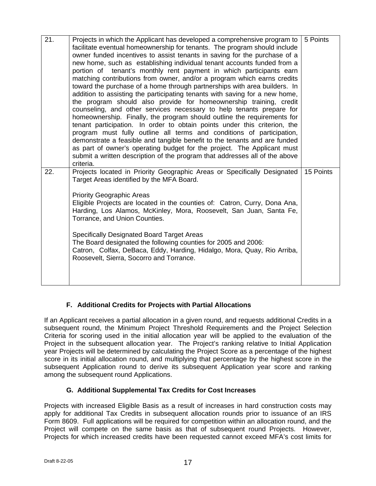| 21. | Projects in which the Applicant has developed a comprehensive program to<br>facilitate eventual homeownership for tenants. The program should include<br>owner funded incentives to assist tenants in saving for the purchase of a<br>new home, such as establishing individual tenant accounts funded from a<br>portion of tenant's monthly rent payment in which participants earn<br>matching contributions from owner, and/or a program which earns credits<br>toward the purchase of a home through partnerships with area builders. In<br>addition to assisting the participating tenants with saving for a new home,<br>the program should also provide for homeownership training, credit<br>counseling, and other services necessary to help tenants prepare for<br>homeownership. Finally, the program should outline the requirements for<br>tenant participation. In order to obtain points under this criterion, the<br>program must fully outline all terms and conditions of participation,<br>demonstrate a feasible and tangible benefit to the tenants and are funded<br>as part of owner's operating budget for the project. The Applicant must<br>submit a written description of the program that addresses all of the above<br>criteria. | 5 Points  |
|-----|----------------------------------------------------------------------------------------------------------------------------------------------------------------------------------------------------------------------------------------------------------------------------------------------------------------------------------------------------------------------------------------------------------------------------------------------------------------------------------------------------------------------------------------------------------------------------------------------------------------------------------------------------------------------------------------------------------------------------------------------------------------------------------------------------------------------------------------------------------------------------------------------------------------------------------------------------------------------------------------------------------------------------------------------------------------------------------------------------------------------------------------------------------------------------------------------------------------------------------------------------------------|-----------|
| 22. | Projects located in Priority Geographic Areas or Specifically Designated<br>Target Areas identified by the MFA Board.<br><b>Priority Geographic Areas</b><br>Eligible Projects are located in the counties of: Catron, Curry, Dona Ana,<br>Harding, Los Alamos, McKinley, Mora, Roosevelt, San Juan, Santa Fe,<br>Torrance, and Union Counties.<br><b>Specifically Designated Board Target Areas</b><br>The Board designated the following counties for 2005 and 2006:<br>Catron, Colfax, DeBaca, Eddy, Harding, Hidalgo, Mora, Quay, Rio Arriba,<br>Roosevelt, Sierra, Socorro and Torrance.                                                                                                                                                                                                                                                                                                                                                                                                                                                                                                                                                                                                                                                                  | 15 Points |

# **F. Additional Credits for Projects with Partial Allocations**

If an Applicant receives a partial allocation in a given round, and requests additional Credits in a subsequent round, the Minimum Project Threshold Requirements and the Project Selection Criteria for scoring used in the initial allocation year will be applied to the evaluation of the Project in the subsequent allocation year. The Project's ranking relative to Initial Application year Projects will be determined by calculating the Project Score as a percentage of the highest score in its initial allocation round, and multiplying that percentage by the highest score in the subsequent Application round to derive its subsequent Application year score and ranking among the subsequent round Applications.

# **G. Additional Supplemental Tax Credits for Cost Increases**

Projects with increased Eligible Basis as a result of increases in hard construction costs may apply for additional Tax Credits in subsequent allocation rounds prior to issuance of an IRS Form 8609. Full applications will be required for competition within an allocation round, and the Project will compete on the same basis as that of subsequent round Projects. However, Projects for which increased credits have been requested cannot exceed MFA's cost limits for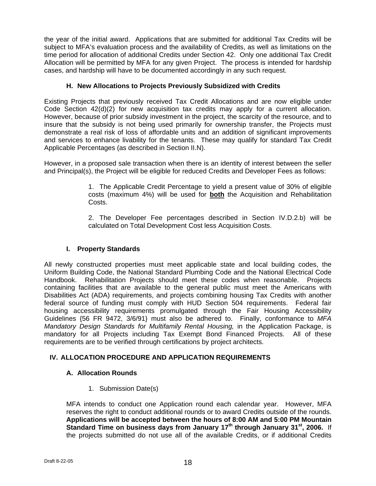the year of the initial award. Applications that are submitted for additional Tax Credits will be subject to MFA's evaluation process and the availability of Credits, as well as limitations on the time period for allocation of additional Credits under Section 42. Only one additional Tax Credit Allocation will be permitted by MFA for any given Project. The process is intended for hardship cases, and hardship will have to be documented accordingly in any such request.

# **H. New Allocations to Projects Previously Subsidized with Credits**

Existing Projects that previously received Tax Credit Allocations and are now eligible under Code Section 42(d)(2) for new acquisition tax credits may apply for a current allocation. However, because of prior subsidy investment in the project, the scarcity of the resource, and to insure that the subsidy is not being used primarily for ownership transfer, the Projects must demonstrate a real risk of loss of affordable units and an addition of significant improvements and services to enhance livability for the tenants. These may qualify for standard Tax Credit Applicable Percentages (as described in Section II.N).

However, in a proposed sale transaction when there is an identity of interest between the seller and Principal(s), the Project will be eligible for reduced Credits and Developer Fees as follows:

> 1. The Applicable Credit Percentage to yield a present value of 30% of eligible costs (maximum 4%) will be used for **both** the Acquisition and Rehabilitation Costs.

> 2. The Developer Fee percentages described in Section IV.D.2.b) will be calculated on Total Development Cost less Acquisition Costs.

## **I. Property Standards**

All newly constructed properties must meet applicable state and local building codes, the Uniform Building Code, the National Standard Plumbing Code and the National Electrical Code Handbook. Rehabilitation Projects should meet these codes when reasonable. Projects containing facilities that are available to the general public must meet the Americans with Disabilities Act (ADA) requirements, and projects combining housing Tax Credits with another federal source of funding must comply with HUD Section 504 requirements. Federal fair housing accessibility requirements promulgated through the Fair Housing Accessibility Guidelines {56 FR 9472, 3/6/91} must also be adhered to. Finally, conformance to *MFA Mandatory Design Standards for Multifamily Rental Housing, in the Application Package, is* mandatory for all Projects including Tax Exempt Bond Financed Projects. All of these requirements are to be verified through certifications by project architects.

# **IV. ALLOCATION PROCEDURE AND APPLICATION REQUIREMENTS**

## **A. Allocation Rounds**

1. Submission Date(s)

MFA intends to conduct one Application round each calendar year. However, MFA reserves the right to conduct additional rounds or to award Credits outside of the rounds. **Applications will be accepted between the hours of 8:00 AM and 5:00 PM Mountain Standard Time on business days from January 17th through January 31st, 2006.** If the projects submitted do not use all of the available Credits, or if additional Credits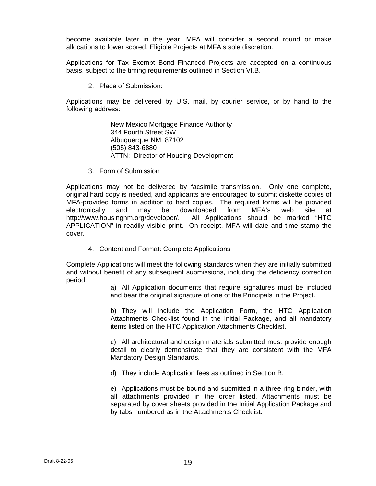become available later in the year, MFA will consider a second round or make allocations to lower scored, Eligible Projects at MFA's sole discretion.

Applications for Tax Exempt Bond Financed Projects are accepted on a continuous basis, subject to the timing requirements outlined in Section VI.B.

2. Place of Submission:

Applications may be delivered by U.S. mail, by courier service, or by hand to the following address:

> New Mexico Mortgage Finance Authority 344 Fourth Street SW Albuquerque NM 87102 (505) 843-6880 ATTN: Director of Housing Development

3. Form of Submission

Applications may not be delivered by facsimile transmission. Only one complete, original hard copy is needed, and applicants are encouraged to submit diskette copies of MFA-provided forms in addition to hard copies. The required forms will be provided electronically and may be downloaded from MFA's web site at http://www.housingnm.org/developer/. All Applications should be marked "HTC APPLICATION" in readily visible print. On receipt, MFA will date and time stamp the cover.

4. Content and Format: Complete Applications

Complete Applications will meet the following standards when they are initially submitted and without benefit of any subsequent submissions, including the deficiency correction period:

> a) All Application documents that require signatures must be included and bear the original signature of one of the Principals in the Project.

> b) They will include the Application Form, the HTC Application Attachments Checklist found in the Initial Package, and all mandatory items listed on the HTC Application Attachments Checklist.

> c) All architectural and design materials submitted must provide enough detail to clearly demonstrate that they are consistent with the MFA Mandatory Design Standards.

d) They include Application fees as outlined in Section B.

e) Applications must be bound and submitted in a three ring binder, with all attachments provided in the order listed. Attachments must be separated by cover sheets provided in the Initial Application Package and by tabs numbered as in the Attachments Checklist.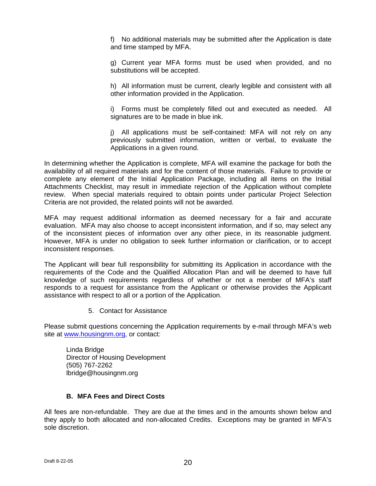f) No additional materials may be submitted after the Application is date and time stamped by MFA.

g) Current year MFA forms must be used when provided, and no substitutions will be accepted.

h) All information must be current, clearly legible and consistent with all other information provided in the Application.

i) Forms must be completely filled out and executed as needed. All signatures are to be made in blue ink.

i) All applications must be self-contained: MFA will not rely on any previously submitted information, written or verbal, to evaluate the Applications in a given round.

In determining whether the Application is complete, MFA will examine the package for both the availability of all required materials and for the content of those materials. Failure to provide or complete any element of the Initial Application Package, including all items on the Initial Attachments Checklist, may result in immediate rejection of the Application without complete review. When special materials required to obtain points under particular Project Selection Criteria are not provided, the related points will not be awarded.

MFA may request additional information as deemed necessary for a fair and accurate evaluation. MFA may also choose to accept inconsistent information, and if so, may select any of the inconsistent pieces of information over any other piece, in its reasonable judgment. However, MFA is under no obligation to seek further information or clarification, or to accept inconsistent responses.

The Applicant will bear full responsibility for submitting its Application in accordance with the requirements of the Code and the Qualified Allocation Plan and will be deemed to have full knowledge of such requirements regardless of whether or not a member of MFA's staff responds to a request for assistance from the Applicant or otherwise provides the Applicant assistance with respect to all or a portion of the Application.

5. Contact for Assistance

Please submit questions concerning the Application requirements by e-mail through MFA's web site at www.housingnm.org, or contact:

Linda Bridge Director of Housing Development (505) 767-2262 lbridge@housingnm.org

## **B. MFA Fees and Direct Costs**

All fees are non-refundable. They are due at the times and in the amounts shown below and they apply to both allocated and non-allocated Credits. Exceptions may be granted in MFA's sole discretion.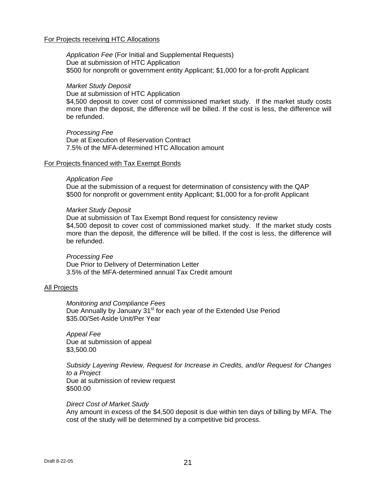#### For Projects receiving HTC Allocations

*Application Fee* (For Initial and Supplemental Requests) Due at submission of HTC Application \$500 for nonprofit or government entity Applicant; \$1,000 for a for-profit Applicant

#### *Market Study Deposit*

Due at submission of HTC Application \$4,500 deposit to cover cost of commissioned market study. If the market study costs more than the deposit, the difference will be billed. If the cost is less, the difference will be refunded.

*Processing Fee* Due at Execution of Reservation Contract 7.5% of the MFA-determined HTC Allocation amount

#### For Projects financed with Tax Exempt Bonds

#### *Application Fee*

Due at the submission of a request for determination of consistency with the QAP \$500 for nonprofit or government entity Applicant; \$1,000 for a for-profit Applicant

#### *Market Study Deposit*

Due at submission of Tax Exempt Bond request for consistency review \$4,500 deposit to cover cost of commissioned market study. If the market study costs more than the deposit, the difference will be billed. If the cost is less, the difference will be refunded.

#### *Processing Fee*

Due Prior to Delivery of Determination Letter 3.5% of the MFA-determined annual Tax Credit amount

#### All Projects

*Monitoring and Compliance Fees*  Due Annually by January 31<sup>st</sup> for each year of the Extended Use Period \$35.00/Set-Aside Unit/Per Year

*Appeal Fee*  Due at submission of appeal \$3,500.00

*Subsidy Layering Review, Request for Increase in Credits, and/or Request for Changes to a Project*  Due at submission of review request \$500.00

#### *Direct Cost of Market Study*

Any amount in excess of the \$4,500 deposit is due within ten days of billing by MFA. The cost of the study will be determined by a competitive bid process.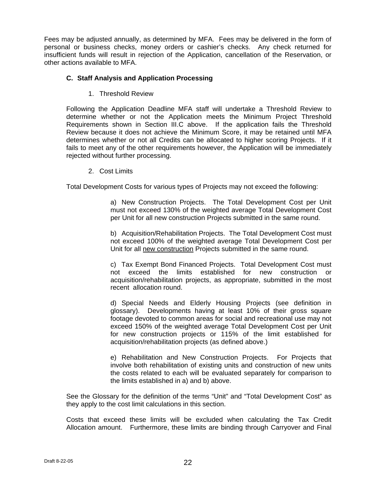Fees may be adjusted annually, as determined by MFA. Fees may be delivered in the form of personal or business checks, money orders or cashier's checks. Any check returned for insufficient funds will result in rejection of the Application, cancellation of the Reservation, or other actions available to MFA.

## **C. Staff Analysis and Application Processing**

1. Threshold Review

Following the Application Deadline MFA staff will undertake a Threshold Review to determine whether or not the Application meets the Minimum Project Threshold Requirements shown in Section III.C above. If the application fails the Threshold Review because it does not achieve the Minimum Score, it may be retained until MFA determines whether or not all Credits can be allocated to higher scoring Projects. If it fails to meet any of the other requirements however, the Application will be immediately rejected without further processing.

2. Cost Limits

Total Development Costs for various types of Projects may not exceed the following:

a) New Construction Projects. The Total Development Cost per Unit must not exceed 130% of the weighted average Total Development Cost per Unit for all new construction Projects submitted in the same round.

b) Acquisition/Rehabilitation Projects. The Total Development Cost must not exceed 100% of the weighted average Total Development Cost per Unit for all new construction Projects submitted in the same round.

c) Tax Exempt Bond Financed Projects. Total Development Cost must not exceed the limits established for new construction or acquisition/rehabilitation projects, as appropriate, submitted in the most recent allocation round.

d) Special Needs and Elderly Housing Projects (see definition in glossary). Developments having at least 10% of their gross square footage devoted to common areas for social and recreational use may not exceed 150% of the weighted average Total Development Cost per Unit for new construction projects or 115% of the limit established for acquisition/rehabilitation projects (as defined above.)

e) Rehabilitation and New Construction Projects. For Projects that involve both rehabilitation of existing units and construction of new units the costs related to each will be evaluated separately for comparison to the limits established in a) and b) above.

See the Glossary for the definition of the terms "Unit" and "Total Development Cost" as they apply to the cost limit calculations in this section.

Costs that exceed these limits will be excluded when calculating the Tax Credit Allocation amount. Furthermore, these limits are binding through Carryover and Final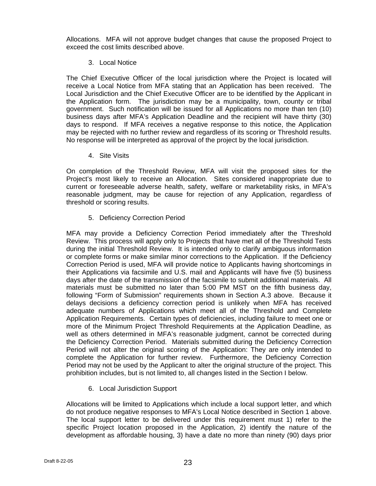Allocations. MFA will not approve budget changes that cause the proposed Project to exceed the cost limits described above.

## 3. Local Notice

The Chief Executive Officer of the local jurisdiction where the Project is located will receive a Local Notice from MFA stating that an Application has been received. The Local Jurisdiction and the Chief Executive Officer are to be identified by the Applicant in the Application form. The jurisdiction may be a municipality, town, county or tribal government. Such notification will be issued for all Applications no more than ten (10) business days after MFA's Application Deadline and the recipient will have thirty (30) days to respond. If MFA receives a negative response to this notice, the Application may be rejected with no further review and regardless of its scoring or Threshold results. No response will be interpreted as approval of the project by the local jurisdiction.

4. Site Visits

On completion of the Threshold Review, MFA will visit the proposed sites for the Project's most likely to receive an Allocation. Sites considered inappropriate due to current or foreseeable adverse health, safety, welfare or marketability risks, in MFA's reasonable judgment, may be cause for rejection of any Application, regardless of threshold or scoring results.

5. Deficiency Correction Period

MFA may provide a Deficiency Correction Period immediately after the Threshold Review. This process will apply only to Projects that have met all of the Threshold Tests during the initial Threshold Review. It is intended only to clarify ambiguous information or complete forms or make similar minor corrections to the Application. If the Deficiency Correction Period is used, MFA will provide notice to Applicants having shortcomings in their Applications via facsimile and U.S. mail and Applicants will have five (5) business days after the date of the transmission of the facsimile to submit additional materials. All materials must be submitted no later than 5:00 PM MST on the fifth business day, following "Form of Submission" requirements shown in Section A.3 above. Because it delays decisions a deficiency correction period is unlikely when MFA has received adequate numbers of Applications which meet all of the Threshold and Complete Application Requirements. Certain types of deficiencies, including failure to meet one or more of the Minimum Project Threshold Requirements at the Application Deadline, as well as others determined in MFA's reasonable judgment, cannot be corrected during the Deficiency Correction Period. Materials submitted during the Deficiency Correction Period will not alter the original scoring of the Application: They are only intended to complete the Application for further review. Furthermore, the Deficiency Correction Period may not be used by the Applicant to alter the original structure of the project. This prohibition includes, but is not limited to, all changes listed in the Section I below.

6. Local Jurisdiction Support

Allocations will be limited to Applications which include a local support letter, and which do not produce negative responses to MFA's Local Notice described in Section 1 above. The local support letter to be delivered under this requirement must 1) refer to the specific Project location proposed in the Application, 2) identify the nature of the development as affordable housing, 3) have a date no more than ninety (90) days prior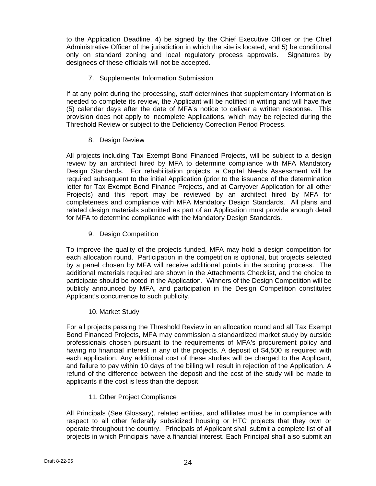to the Application Deadline, 4) be signed by the Chief Executive Officer or the Chief Administrative Officer of the jurisdiction in which the site is located, and 5) be conditional only on standard zoning and local regulatory process approvals. Signatures by designees of these officials will not be accepted.

7. Supplemental Information Submission

If at any point during the processing, staff determines that supplementary information is needed to complete its review, the Applicant will be notified in writing and will have five (5) calendar days after the date of MFA's notice to deliver a written response. This provision does not apply to incomplete Applications, which may be rejected during the Threshold Review or subject to the Deficiency Correction Period Process.

8. Design Review

All projects including Tax Exempt Bond Financed Projects, will be subject to a design review by an architect hired by MFA to determine compliance with MFA Mandatory Design Standards. For rehabilitation projects, a Capital Needs Assessment will be required subsequent to the initial Application (prior to the issuance of the determination letter for Tax Exempt Bond Finance Projects, and at Carryover Application for all other Projects) and this report may be reviewed by an architect hired by MFA for completeness and compliance with MFA Mandatory Design Standards. All plans and related design materials submitted as part of an Application must provide enough detail for MFA to determine compliance with the Mandatory Design Standards.

9. Design Competition

To improve the quality of the projects funded, MFA may hold a design competition for each allocation round. Participation in the competition is optional, but projects selected by a panel chosen by MFA will receive additional points in the scoring process. The additional materials required are shown in the Attachments Checklist, and the choice to participate should be noted in the Application. Winners of the Design Competition will be publicly announced by MFA, and participation in the Design Competition constitutes Applicant's concurrence to such publicity.

10. Market Study

For all projects passing the Threshold Review in an allocation round and all Tax Exempt Bond Financed Projects, MFA may commission a standardized market study by outside professionals chosen pursuant to the requirements of MFA's procurement policy and having no financial interest in any of the projects. A deposit of \$4,500 is required with each application. Any additional cost of these studies will be charged to the Applicant, and failure to pay within 10 days of the billing will result in rejection of the Application. A refund of the difference between the deposit and the cost of the study will be made to applicants if the cost is less than the deposit.

11. Other Project Compliance

All Principals (See Glossary), related entities, and affiliates must be in compliance with respect to all other federally subsidized housing or HTC projects that they own or operate throughout the country. Principals of Applicant shall submit a complete list of all projects in which Principals have a financial interest. Each Principal shall also submit an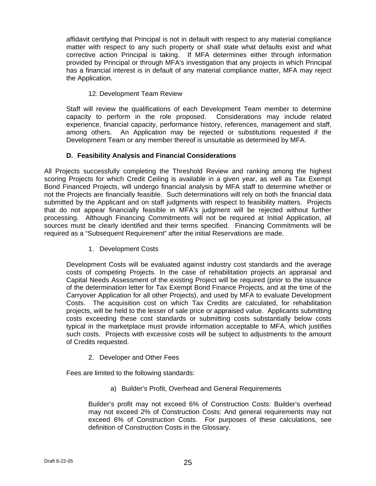affidavit certifying that Principal is not in default with respect to any material compliance matter with respect to any such property or shall state what defaults exist and what corrective action Principal is taking. If MFA determines either through information provided by Principal or through MFA's investigation that any projects in which Principal has a financial interest is in default of any material compliance matter, MFA may reject the Application.

# 12. Development Team Review

Staff will review the qualifications of each Development Team member to determine capacity to perform in the role proposed. Considerations may include related experience, financial capacity, performance history, references, management and staff, among others. An Application may be rejected or substitutions requested if the Development Team or any member thereof is unsuitable as determined by MFA.

# **D. Feasibility Analysis and Financial Considerations**

All Projects successfully completing the Threshold Review and ranking among the highest scoring Projects for which Credit Ceiling is available in a given year, as well as Tax Exempt Bond Financed Projects, will undergo financial analysis by MFA staff to determine whether or not the Projects are financially feasible. Such determinations will rely on both the financial data submitted by the Applicant and on staff judgments with respect to feasibility matters. Projects that do not appear financially feasible in MFA's judgment will be rejected without further processing. Although Financing Commitments will not be required at Initial Application, all sources must be clearly identified and their terms specified. Financing Commitments will be required as a "Subsequent Requirement" after the initial Reservations are made.

1. Development Costs

Development Costs will be evaluated against industry cost standards and the average costs of competing Projects. In the case of rehabilitation projects an appraisal and Capital Needs Assessment of the existing Project will be required (prior to the issuance of the determination letter for Tax Exempt Bond Finance Projects, and at the time of the Carryover Application for all other Projects), and used by MFA to evaluate Development Costs. The acquisition cost on which Tax Credits are calculated, for rehabilitation projects, will be held to the lesser of sale price or appraised value. Applicants submitting costs exceeding these cost standards or submitting costs substantially below costs typical in the marketplace must provide information acceptable to MFA, which justifies such costs. Projects with excessive costs will be subject to adjustments to the amount of Credits requested.

2. Developer and Other Fees

Fees are limited to the following standards:

a) Builder's Profit, Overhead and General Requirements

Builder's profit may not exceed 6% of Construction Costs: Builder's overhead may not exceed 2% of Construction Costs: And general requirements may not exceed 6% of Construction Costs. For purposes of these calculations, see definition of Construction Costs in the Glossary.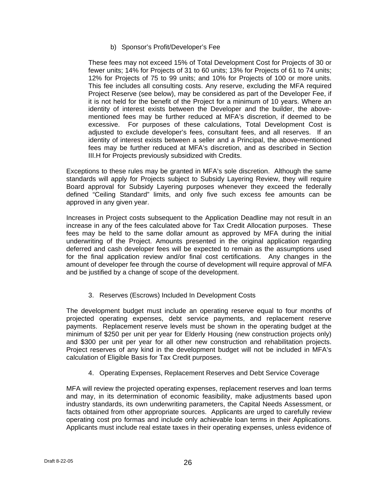## b) Sponsor's Profit/Developer's Fee

These fees may not exceed 15% of Total Development Cost for Projects of 30 or fewer units; 14% for Projects of 31 to 60 units; 13% for Projects of 61 to 74 units; 12% for Projects of 75 to 99 units; and 10% for Projects of 100 or more units. This fee includes all consulting costs. Any reserve, excluding the MFA required Project Reserve (see below), may be considered as part of the Developer Fee, if it is not held for the benefit of the Project for a minimum of 10 years. Where an identity of interest exists between the Developer and the builder, the abovementioned fees may be further reduced at MFA's discretion, if deemed to be excessive. For purposes of these calculations, Total Development Cost is adjusted to exclude developer's fees, consultant fees, and all reserves. If an identity of interest exists between a seller and a Principal, the above-mentioned fees may be further reduced at MFA's discretion, and as described in Section III.H for Projects previously subsidized with Credits.

Exceptions to these rules may be granted in MFA's sole discretion. Although the same standards will apply for Projects subject to Subsidy Layering Review, they will require Board approval for Subsidy Layering purposes whenever they exceed the federally defined "Ceiling Standard" limits, and only five such excess fee amounts can be approved in any given year.

Increases in Project costs subsequent to the Application Deadline may not result in an increase in any of the fees calculated above for Tax Credit Allocation purposes. These fees may be held to the same dollar amount as approved by MFA during the initial underwriting of the Project. Amounts presented in the original application regarding deferred and cash developer fees will be expected to remain as the assumptions used for the final application review and/or final cost certifications. Any changes in the amount of developer fee through the course of development will require approval of MFA and be justified by a change of scope of the development.

# 3. Reserves (Escrows) Included In Development Costs

The development budget must include an operating reserve equal to four months of projected operating expenses, debt service payments, and replacement reserve payments. Replacement reserve levels must be shown in the operating budget at the minimum of \$250 per unit per year for Elderly Housing (new construction projects only) and \$300 per unit per year for all other new construction and rehabilitation projects. Project reserves of any kind in the development budget will not be included in MFA's calculation of Eligible Basis for Tax Credit purposes.

# 4. Operating Expenses, Replacement Reserves and Debt Service Coverage

MFA will review the projected operating expenses, replacement reserves and loan terms and may, in its determination of economic feasibility, make adjustments based upon industry standards, its own underwriting parameters, the Capital Needs Assessment, or facts obtained from other appropriate sources. Applicants are urged to carefully review operating cost pro formas and include only achievable loan terms in their Applications. Applicants must include real estate taxes in their operating expenses, unless evidence of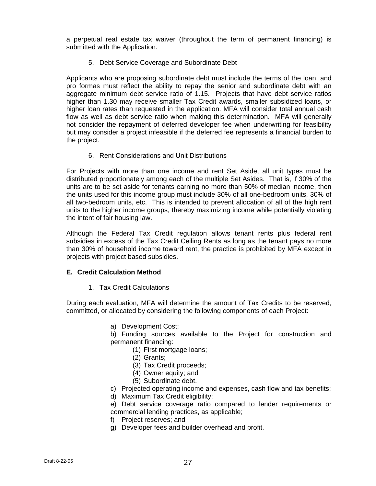a perpetual real estate tax waiver (throughout the term of permanent financing) is submitted with the Application.

5. Debt Service Coverage and Subordinate Debt

Applicants who are proposing subordinate debt must include the terms of the loan, and pro formas must reflect the ability to repay the senior and subordinate debt with an aggregate minimum debt service ratio of 1.15. Projects that have debt service ratios higher than 1.30 may receive smaller Tax Credit awards, smaller subsidized loans, or higher loan rates than requested in the application. MFA will consider total annual cash flow as well as debt service ratio when making this determination. MFA will generally not consider the repayment of deferred developer fee when underwriting for feasibility but may consider a project infeasible if the deferred fee represents a financial burden to the project.

6. Rent Considerations and Unit Distributions

For Projects with more than one income and rent Set Aside, all unit types must be distributed proportionately among each of the multiple Set Asides. That is, if 30% of the units are to be set aside for tenants earning no more than 50% of median income, then the units used for this income group must include 30% of all one-bedroom units, 30% of all two-bedroom units, etc. This is intended to prevent allocation of all of the high rent units to the higher income groups, thereby maximizing income while potentially violating the intent of fair housing law.

Although the Federal Tax Credit regulation allows tenant rents plus federal rent subsidies in excess of the Tax Credit Ceiling Rents as long as the tenant pays no more than 30% of household income toward rent, the practice is prohibited by MFA except in projects with project based subsidies.

## **E. Credit Calculation Method**

1. Tax Credit Calculations

During each evaluation, MFA will determine the amount of Tax Credits to be reserved, committed, or allocated by considering the following components of each Project:

a) Development Cost;

b) Funding sources available to the Project for construction and permanent financing:

- (1) First mortgage loans;
- (2) Grants;
- (3) Tax Credit proceeds;
- (4) Owner equity; and
- (5) Subordinate debt.
- c) Projected operating income and expenses, cash flow and tax benefits;
- d) Maximum Tax Credit eligibility;
- e) Debt service coverage ratio compared to lender requirements or commercial lending practices, as applicable;
- f) Project reserves; and
- g) Developer fees and builder overhead and profit.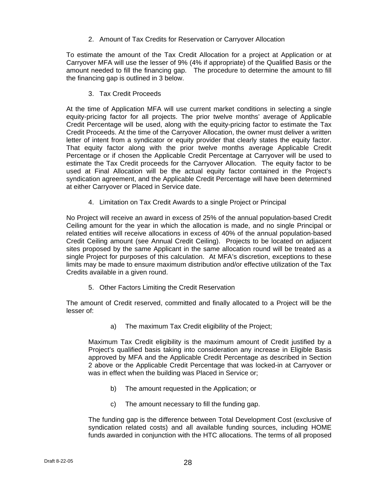2. Amount of Tax Credits for Reservation or Carryover Allocation

To estimate the amount of the Tax Credit Allocation for a project at Application or at Carryover MFA will use the lesser of 9% (4% if appropriate) of the Qualified Basis or the amount needed to fill the financing gap. The procedure to determine the amount to fill the financing gap is outlined in 3 below.

3. Tax Credit Proceeds

At the time of Application MFA will use current market conditions in selecting a single equity-pricing factor for all projects. The prior twelve months' average of Applicable Credit Percentage will be used, along with the equity-pricing factor to estimate the Tax Credit Proceeds. At the time of the Carryover Allocation, the owner must deliver a written letter of intent from a syndicator or equity provider that clearly states the equity factor. That equity factor along with the prior twelve months average Applicable Credit Percentage or if chosen the Applicable Credit Percentage at Carryover will be used to estimate the Tax Credit proceeds for the Carryover Allocation. The equity factor to be used at Final Allocation will be the actual equity factor contained in the Project's syndication agreement, and the Applicable Credit Percentage will have been determined at either Carryover or Placed in Service date.

4. Limitation on Tax Credit Awards to a single Project or Principal

No Project will receive an award in excess of 25% of the annual population-based Credit Ceiling amount for the year in which the allocation is made, and no single Principal or related entities will receive allocations in excess of 40% of the annual population-based Credit Ceiling amount (see Annual Credit Ceiling). Projects to be located on adjacent sites proposed by the same Applicant in the same allocation round will be treated as a single Project for purposes of this calculation. At MFA's discretion, exceptions to these limits may be made to ensure maximum distribution and/or effective utilization of the Tax Credits available in a given round.

5. Other Factors Limiting the Credit Reservation

The amount of Credit reserved, committed and finally allocated to a Project will be the lesser of:

a) The maximum Tax Credit eligibility of the Project;

Maximum Tax Credit eligibility is the maximum amount of Credit justified by a Project's qualified basis taking into consideration any increase in Eligible Basis approved by MFA and the Applicable Credit Percentage as described in Section 2 above or the Applicable Credit Percentage that was locked-in at Carryover or was in effect when the building was Placed in Service or;

- b) The amount requested in the Application; or
- c) The amount necessary to fill the funding gap.

The funding gap is the difference between Total Development Cost (exclusive of syndication related costs) and all available funding sources, including HOME funds awarded in conjunction with the HTC allocations. The terms of all proposed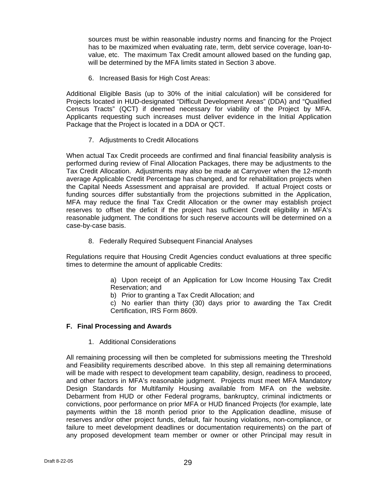sources must be within reasonable industry norms and financing for the Project has to be maximized when evaluating rate, term, debt service coverage, loan-tovalue, etc. The maximum Tax Credit amount allowed based on the funding gap, will be determined by the MFA limits stated in Section 3 above.

6. Increased Basis for High Cost Areas:

Additional Eligible Basis (up to 30% of the initial calculation) will be considered for Projects located in HUD-designated "Difficult Development Areas" (DDA) and "Qualified Census Tracts" (QCT) if deemed necessary for viability of the Project by MFA. Applicants requesting such increases must deliver evidence in the Initial Application Package that the Project is located in a DDA or QCT.

7. Adjustments to Credit Allocations

When actual Tax Credit proceeds are confirmed and final financial feasibility analysis is performed during review of Final Allocation Packages, there may be adjustments to the Tax Credit Allocation. Adjustments may also be made at Carryover when the 12-month average Applicable Credit Percentage has changed, and for rehabilitation projects when the Capital Needs Assessment and appraisal are provided. If actual Project costs or funding sources differ substantially from the projections submitted in the Application, MFA may reduce the final Tax Credit Allocation or the owner may establish project reserves to offset the deficit if the project has sufficient Credit eligibility in MFA's reasonable judgment. The conditions for such reserve accounts will be determined on a case-by-case basis.

8. Federally Required Subsequent Financial Analyses

Regulations require that Housing Credit Agencies conduct evaluations at three specific times to determine the amount of applicable Credits:

> a) Upon receipt of an Application for Low Income Housing Tax Credit Reservation; and

b) Prior to granting a Tax Credit Allocation; and

c) No earlier than thirty (30) days prior to awarding the Tax Credit Certification, IRS Form 8609.

#### **F. Final Processing and Awards**

1. Additional Considerations

All remaining processing will then be completed for submissions meeting the Threshold and Feasibility requirements described above. In this step all remaining determinations will be made with respect to development team capability, design, readiness to proceed, and other factors in MFA's reasonable judgment. Projects must meet MFA Mandatory Design Standards for Multifamily Housing available from MFA on the website. Debarment from HUD or other Federal programs, bankruptcy, criminal indictments or convictions, poor performance on prior MFA or HUD financed Projects (for example, late payments within the 18 month period prior to the Application deadline, misuse of reserves and/or other project funds, default, fair housing violations, non-compliance, or failure to meet development deadlines or documentation requirements) on the part of any proposed development team member or owner or other Principal may result in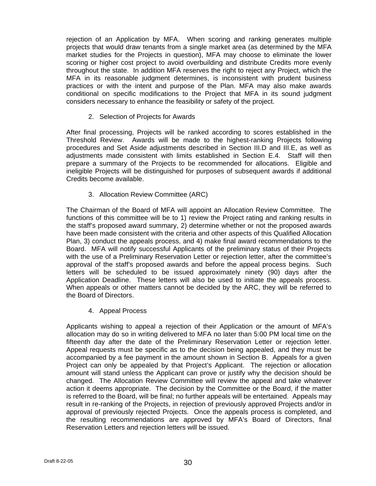rejection of an Application by MFA. When scoring and ranking generates multiple projects that would draw tenants from a single market area (as determined by the MFA market studies for the Projects in question), MFA may choose to eliminate the lower scoring or higher cost project to avoid overbuilding and distribute Credits more evenly throughout the state. In addition MFA reserves the right to reject any Project, which the MFA in its reasonable judgment determines, is inconsistent with prudent business practices or with the intent and purpose of the Plan. MFA may also make awards conditional on specific modifications to the Project that MFA in its sound judgment considers necessary to enhance the feasibility or safety of the project.

2. Selection of Projects for Awards

After final processing, Projects will be ranked according to scores established in the Threshold Review. Awards will be made to the highest-ranking Projects following procedures and Set Aside adjustments described in Section III.D and III.E, as well as adjustments made consistent with limits established in Section E.4. Staff will then prepare a summary of the Projects to be recommended for allocations. Eligible and ineligible Projects will be distinguished for purposes of subsequent awards if additional Credits become available.

3. Allocation Review Committee (ARC)

The Chairman of the Board of MFA will appoint an Allocation Review Committee. The functions of this committee will be to 1) review the Project rating and ranking results in the staff's proposed award summary, 2) determine whether or not the proposed awards have been made consistent with the criteria and other aspects of this Qualified Allocation Plan, 3) conduct the appeals process, and 4) make final award recommendations to the Board. MFA will notify successful Applicants of the preliminary status of their Projects with the use of a Preliminary Reservation Letter or rejection letter, after the committee's approval of the staff's proposed awards and before the appeal process begins. Such letters will be scheduled to be issued approximately ninety (90) days after the Application Deadline. These letters will also be used to initiate the appeals process. When appeals or other matters cannot be decided by the ARC, they will be referred to the Board of Directors.

4. Appeal Process

Applicants wishing to appeal a rejection of their Application or the amount of MFA's allocation may do so in writing delivered to MFA no later than 5:00 PM local time on the fifteenth day after the date of the Preliminary Reservation Letter or rejection letter. Appeal requests must be specific as to the decision being appealed, and they must be accompanied by a fee payment in the amount shown in Section B. Appeals for a given Project can only be appealed by that Project's Applicant. The rejection or allocation amount will stand unless the Applicant can prove or justify why the decision should be changed. The Allocation Review Committee will review the appeal and take whatever action it deems appropriate. The decision by the Committee or the Board, if the matter is referred to the Board, will be final; no further appeals will be entertained. Appeals may result in re-ranking of the Projects, in rejection of previously approved Projects and/or in approval of previously rejected Projects. Once the appeals process is completed, and the resulting recommendations are approved by MFA's Board of Directors, final Reservation Letters and rejection letters will be issued.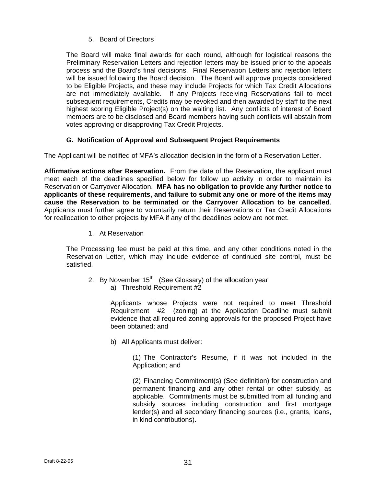5. Board of Directors

The Board will make final awards for each round, although for logistical reasons the Preliminary Reservation Letters and rejection letters may be issued prior to the appeals process and the Board's final decisions. Final Reservation Letters and rejection letters will be issued following the Board decision. The Board will approve projects considered to be Eligible Projects, and these may include Projects for which Tax Credit Allocations are not immediately available. If any Projects receiving Reservations fail to meet subsequent requirements, Credits may be revoked and then awarded by staff to the next highest scoring Eligible Project(s) on the waiting list. Any conflicts of interest of Board members are to be disclosed and Board members having such conflicts will abstain from votes approving or disapproving Tax Credit Projects.

# **G. Notification of Approval and Subsequent Project Requirements**

The Applicant will be notified of MFA's allocation decision in the form of a Reservation Letter.

**Affirmative actions after Reservation.** From the date of the Reservation, the applicant must meet each of the deadlines specified below for follow up activity in order to maintain its Reservation or Carryover Allocation. **MFA has no obligation to provide any further notice to applicants of these requirements, and failure to submit any one or more of the items may cause the Reservation to be terminated or the Carryover Allocation to be cancelled**. Applicants must further agree to voluntarily return their Reservations or Tax Credit Allocations for reallocation to other projects by MFA if any of the deadlines below are not met.

1. At Reservation

The Processing fee must be paid at this time, and any other conditions noted in the Reservation Letter, which may include evidence of continued site control, must be satisfied.

- 2. By November  $15<sup>th</sup>$  (See Glossary) of the allocation year
	- a) Threshold Requirement #2

Applicants whose Projects were not required to meet Threshold Requirement #2 (zoning) at the Application Deadline must submit evidence that all required zoning approvals for the proposed Project have been obtained; and

b) All Applicants must deliver:

(1) The Contractor's Resume, if it was not included in the Application; and

(2) Financing Commitment(s) (See definition) for construction and permanent financing and any other rental or other subsidy, as applicable. Commitments must be submitted from all funding and subsidy sources including construction and first mortgage lender(s) and all secondary financing sources (i.e., grants, loans, in kind contributions).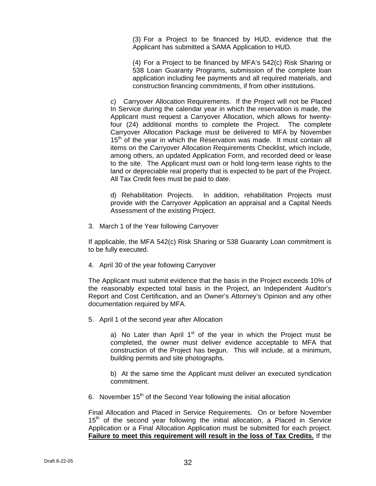(3) For a Project to be financed by HUD, evidence that the Applicant has submitted a SAMA Application to HUD.

(4) For a Project to be financed by MFA's 542(c) Risk Sharing or 538 Loan Guaranty Programs, submission of the complete loan application including fee payments and all required materials, and construction financing commitments, if from other institutions.

c) Carryover Allocation Requirements. If the Project will not be Placed In Service during the calendar year in which the reservation is made, the Applicant must request a Carryover Allocation, which allows for twentyfour (24) additional months to complete the Project. The complete Carryover Allocation Package must be delivered to MFA by November 15<sup>th</sup> of the year in which the Reservation was made. It must contain all items on the Carryover Allocation Requirements Checklist, which include, among others, an updated Application Form, and recorded deed or lease to the site. The Applicant must own or hold long-term lease rights to the land or depreciable real property that is expected to be part of the Project. All Tax Credit fees must be paid to date.

d) Rehabilitation Projects. In addition, rehabilitation Projects must provide with the Carryover Application an appraisal and a Capital Needs Assessment of the existing Project.

3. March 1 of the Year following Carryover

If applicable, the MFA 542(c) Risk Sharing or 538 Guaranty Loan commitment is to be fully executed.

4. April 30 of the year following Carryover

The Applicant must submit evidence that the basis in the Project exceeds 10% of the reasonably expected total basis in the Project, an Independent Auditor's Report and Cost Certification, and an Owner's Attorney's Opinion and any other documentation required by MFA.

5. April 1 of the second year after Allocation

a) No Later than April  $1<sup>st</sup>$  of the year in which the Project must be completed, the owner must deliver evidence acceptable to MFA that construction of the Project has begun. This will include, at a minimum, building permits and site photographs.

b) At the same time the Applicant must deliver an executed syndication commitment.

6. November  $15<sup>th</sup>$  of the Second Year following the initial allocation

Final Allocation and Placed in Service Requirements. On or before November 15<sup>th</sup> of the second year following the initial allocation, a Placed in Service Application or a Final Allocation Application must be submitted for each project. **Failure to meet this requirement will result in the loss of Tax Credits.** If the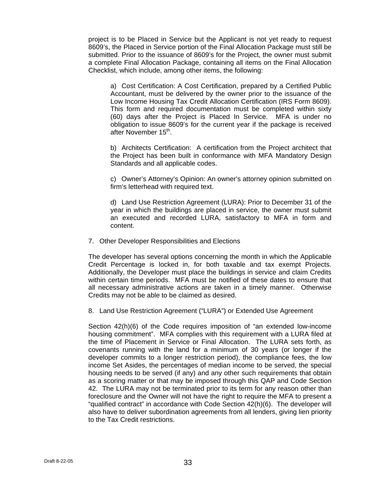project is to be Placed in Service but the Applicant is not yet ready to request 8609's, the Placed in Service portion of the Final Allocation Package must still be submitted. Prior to the issuance of 8609's for the Project, the owner must submit a complete Final Allocation Package, containing all items on the Final Allocation Checklist, which include, among other items, the following:

a) Cost Certification: A Cost Certification, prepared by a Certified Public Accountant, must be delivered by the owner prior to the issuance of the Low Income Housing Tax Credit Allocation Certification (IRS Form 8609). This form and required documentation must be completed within sixty (60) days after the Project is Placed In Service. MFA is under no obligation to issue 8609's for the current year if the package is received after November 15<sup>th</sup>.

b) Architects Certification: A certification from the Project architect that the Project has been built in conformance with MFA Mandatory Design Standards and all applicable codes.

c) Owner's Attorney's Opinion: An owner's attorney opinion submitted on firm's letterhead with required text.

d) Land Use Restriction Agreement (LURA): Prior to December 31 of the year in which the buildings are placed in service, the owner must submit an executed and recorded LURA, satisfactory to MFA in form and content.

7. Other Developer Responsibilities and Elections

The developer has several options concerning the month in which the Applicable Credit Percentage is locked in, for both taxable and tax exempt Projects. Additionally, the Developer must place the buildings in service and claim Credits within certain time periods. MFA must be notified of these dates to ensure that all necessary administrative actions are taken in a timely manner. Otherwise Credits may not be able to be claimed as desired.

8. Land Use Restriction Agreement ("LURA") or Extended Use Agreement

Section 42(h)(6) of the Code requires imposition of "an extended low-income housing commitment". MFA complies with this requirement with a LURA filed at the time of Placement in Service or Final Allocation. The LURA sets forth, as covenants running with the land for a minimum of 30 years (or longer if the developer commits to a longer restriction period), the compliance fees, the low income Set Asides, the percentages of median income to be served, the special housing needs to be served (if any) and any other such requirements that obtain as a scoring matter or that may be imposed through this QAP and Code Section 42. The LURA may not be terminated prior to its term for any reason other than foreclosure and the Owner will not have the right to require the MFA to present a "qualified contract" in accordance with Code Section 42(h)(6). The developer will also have to deliver subordination agreements from all lenders, giving lien priority to the Tax Credit restrictions.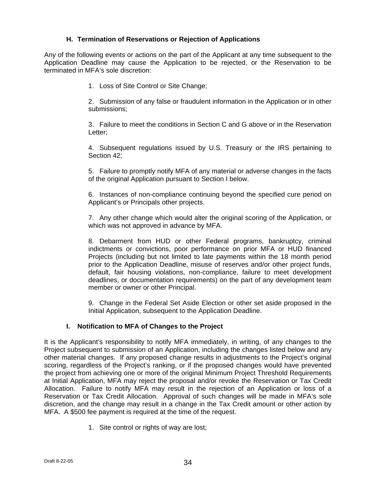# **H. Termination of Reservations or Rejection of Applications**

Any of the following events or actions on the part of the Applicant at any time subsequent to the Application Deadline may cause the Application to be rejected, or the Reservation to be terminated in MFA's sole discretion:

1. Loss of Site Control or Site Change;

2. Submission of any false or fraudulent information in the Application or in other submissions;

3. Failure to meet the conditions in Section C and G above or in the Reservation Letter;

4. Subsequent regulations issued by U.S. Treasury or the IRS pertaining to Section 42;

5. Failure to promptly notify MFA of any material or adverse changes in the facts of the original Application pursuant to Section I below.

6. Instances of non-compliance continuing beyond the specified cure period on Applicant's or Principals other projects.

7. Any other change which would alter the original scoring of the Application, or which was not approved in advance by MFA.

8. Debarment from HUD or other Federal programs, bankruptcy, criminal indictments or convictions, poor performance on prior MFA or HUD financed Projects (including but not limited to late payments within the 18 month period prior to the Application Deadline, misuse of reserves and/or other project funds, default, fair housing violations, non-compliance, failure to meet development deadlines, or documentation requirements) on the part of any development team member or owner or other Principal.

9. Change in the Federal Set Aside Election or other set aside proposed in the Initial Application, subsequent to the Application Deadline.

## **I. Notification to MFA of Changes to the Project**

It is the Applicant's responsibility to notify MFA immediately, in writing, of any changes to the Project subsequent to submission of an Application, including the changes listed below and any other material changes. If any proposed change results in adjustments to the Project's original scoring, regardless of the Project's ranking, or if the proposed changes would have prevented the project from achieving one or more of the original Minimum Project Threshold Requirements at Initial Application, MFA may reject the proposal and/or revoke the Reservation or Tax Credit Allocation. Failure to notify MFA may result in the rejection of an Application or loss of a Reservation or Tax Credit Allocation. Approval of such changes will be made in MFA's sole discretion, and the change may result in a change in the Tax Credit amount or other action by MFA. A \$500 fee payment is required at the time of the request.

1. Site control or rights of way are lost;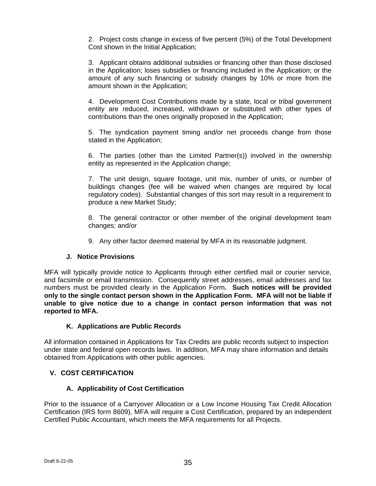2. Project costs change in excess of five percent (5%) of the Total Development Cost shown in the Initial Application;

3. Applicant obtains additional subsidies or financing other than those disclosed in the Application; loses subsidies or financing included in the Application; or the amount of any such financing or subsidy changes by 10% or more from the amount shown in the Application;

4. Development Cost Contributions made by a state, local or tribal government entity are reduced, increased, withdrawn or substituted with other types of contributions than the ones originally proposed in the Application;

5. The syndication payment timing and/or net proceeds change from those stated in the Application;

6. The parties (other than the Limited Partner(s)) involved in the ownership entity as represented in the Application change;

7. The unit design, square footage, unit mix, number of units, or number of buildings changes (fee will be waived when changes are required by local regulatory codes). Substantial changes of this sort may result in a requirement to produce a new Market Study;

8. The general contractor or other member of the original development team changes; and/or

9. Any other factor deemed material by MFA in its reasonable judgment.

## **J. Notice Provisions**

MFA will typically provide notice to Applicants through either certified mail or courier service, and facsimile or email transmission. Consequently street addresses, email addresses and fax numbers must be provided clearly in the Application Form**. Such notices will be provided only to the single contact person shown in the Application Form. MFA will not be liable if unable to give notice due to a change in contact person information that was not reported to MFA.** 

## **K. Applications are Public Records**

All information contained in Applications for Tax Credits are public records subject to inspection under state and federal open records laws. In addition, MFA may share information and details obtained from Applications with other public agencies.

## **V. COST CERTIFICATION**

## **A. Applicability of Cost Certification**

Prior to the issuance of a Carryover Allocation or a Low Income Housing Tax Credit Allocation Certification (IRS form 8609), MFA will require a Cost Certification, prepared by an independent Certified Public Accountant, which meets the MFA requirements for all Projects.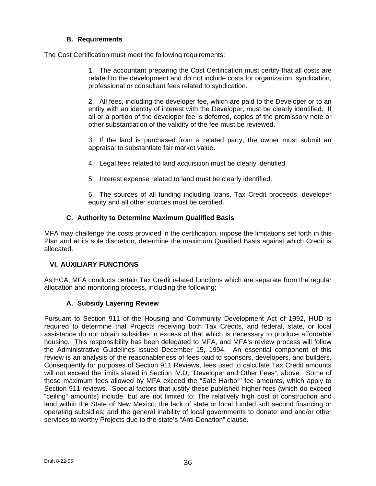# **B. Requirements**

The Cost Certification must meet the following requirements:

1. The accountant preparing the Cost Certification must certify that all costs are related to the development and do not include costs for organization, syndication, professional or consultant fees related to syndication.

2. All fees, including the developer fee, which are paid to the Developer or to an entity with an identity of interest with the Developer, must be clearly identified. If all or a portion of the developer fee is deferred, copies of the promissory note or other substantiation of the validity of the fee must be reviewed.

3. If the land is purchased from a related party, the owner must submit an appraisal to substantiate fair market value.

4. Legal fees related to land acquisition must be clearly identified.

5. Interest expense related to land must be clearly identified.

6. The sources of all funding including loans, Tax Credit proceeds, developer equity and all other sources must be certified.

# **C. Authority to Determine Maximum Qualified Basis**

MFA may challenge the costs provided in the certification, impose the limitations set forth in this Plan and at its sole discretion, determine the maximum Qualified Basis against which Credit is allocated.

# **VI. AUXILIARY FUNCTIONS**

As HCA, MFA conducts certain Tax Credit related functions which are separate from the regular allocation and monitoring process, including the following;

# **A. Subsidy Layering Review**

Pursuant to Section 911 of the Housing and Community Development Act of 1992, HUD is required to determine that Projects receiving both Tax Credits, and federal, state, or local assistance do not obtain subsidies in excess of that which is necessary to produce affordable housing. This responsibility has been delegated to MFA, and MFA's review process will follow the Administrative Guidelines issued December 15, 1994. An essential component of this review is an analysis of the reasonableness of fees paid to sponsors, developers, and builders. Consequently for purposes of Section 911 Reviews, fees used to calculate Tax Credit amounts will not exceed the limits stated in Section IV.D, "Developer and Other Fees", above. Some of these maximum fees allowed by MFA exceed the "Safe Harbor" fee amounts, which apply to Section 911 reviews. Special factors that justify these published higher fees (which do exceed "ceiling" amounts) include, but are not limited to: The relatively high cost of construction and land within the State of New Mexico; the lack of state or local funded soft second financing or operating subsidies; and the general inability of local governments to donate land and/or other services to worthy Projects due to the state's "Anti-Donation" clause.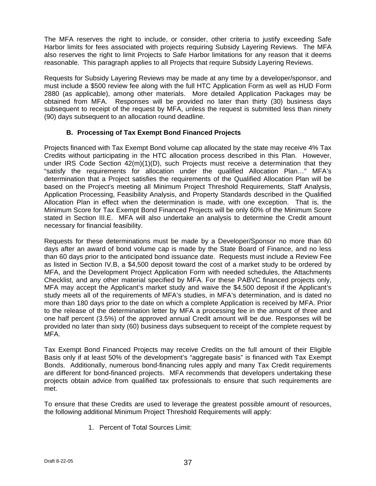The MFA reserves the right to include, or consider, other criteria to justify exceeding Safe Harbor limits for fees associated with projects requiring Subsidy Layering Reviews. The MFA also reserves the right to limit Projects to Safe Harbor limitations for any reason that it deems reasonable. This paragraph applies to all Projects that require Subsidy Layering Reviews.

Requests for Subsidy Layering Reviews may be made at any time by a developer/sponsor, and must include a \$500 review fee along with the full HTC Application Form as well as HUD Form 2880 (as applicable), among other materials. More detailed Application Packages may be obtained from MFA. Responses will be provided no later than thirty (30) business days subsequent to receipt of the request by MFA, unless the request is submitted less than ninety (90) days subsequent to an allocation round deadline.

# **B. Processing of Tax Exempt Bond Financed Projects**

Projects financed with Tax Exempt Bond volume cap allocated by the state may receive 4% Tax Credits without participating in the HTC allocation process described in this Plan. However, under IRS Code Section  $42(m)(1)(D)$ , such Projects must receive a determination that they "satisfy the requirements for allocation under the qualified Allocation Plan…" MFA's determination that a Project satisfies the requirements of the Qualified Allocation Plan will be based on the Project's meeting all Minimum Project Threshold Requirements, Staff Analysis, Application Processing, Feasibility Analysis, and Property Standards described in the Qualified Allocation Plan in effect when the determination is made, with one exception. That is, the Minimum Score for Tax Exempt Bond Financed Projects will be only 60% of the Minimum Score stated in Section III.E. MFA will also undertake an analysis to determine the Credit amount necessary for financial feasibility.

Requests for these determinations must be made by a Developer/Sponsor no more than 60 days after an award of bond volume cap is made by the State Board of Finance, and no less than 60 days prior to the anticipated bond issuance date. Requests must include a Review Fee as listed in Section IV.B, a \$4,500 deposit toward the cost of a market study to be ordered by MFA, and the Development Project Application Form with needed schedules, the Attachments Checklist, and any other material specified by MFA. For these PABVC financed projects only, MFA may accept the Applicant's market study and waive the \$4,500 deposit if the Applicant's study meets all of the requirements of MFA's studies, in MFA's determination, and is dated no more than 180 days prior to the date on which a complete Application is received by MFA. Prior to the release of the determination letter by MFA a processing fee in the amount of three and one half percent (3.5%) of the approved annual Credit amount will be due. Responses will be provided no later than sixty (60) business days subsequent to receipt of the complete request by MFA.

Tax Exempt Bond Financed Projects may receive Credits on the full amount of their Eligible Basis only if at least 50% of the development's "aggregate basis" is financed with Tax Exempt Bonds. Additionally, numerous bond-financing rules apply and many Tax Credit requirements are different for bond-financed projects. MFA recommends that developers undertaking these projects obtain advice from qualified tax professionals to ensure that such requirements are met.

To ensure that these Credits are used to leverage the greatest possible amount of resources, the following additional Minimum Project Threshold Requirements will apply:

1. Percent of Total Sources Limit: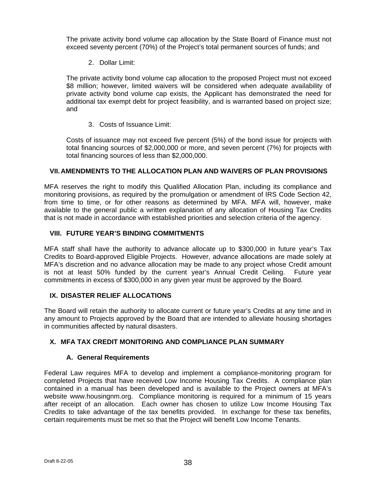The private activity bond volume cap allocation by the State Board of Finance must not exceed seventy percent (70%) of the Project's total permanent sources of funds; and

2. Dollar Limit:

The private activity bond volume cap allocation to the proposed Project must not exceed \$8 million; however, limited waivers will be considered when adequate availability of private activity bond volume cap exists, the Applicant has demonstrated the need for additional tax exempt debt for project feasibility, and is warranted based on project size; and

3. Costs of Issuance Limit:

Costs of issuance may not exceed five percent (5%) of the bond issue for projects with total financing sources of \$2,000,000 or more, and seven percent (7%) for projects with total financing sources of less than \$2,000,000.

# **VII. AMENDMENTS TO THE ALLOCATION PLAN AND WAIVERS OF PLAN PROVISIONS**

MFA reserves the right to modify this Qualified Allocation Plan, including its compliance and monitoring provisions, as required by the promulgation or amendment of IRS Code Section 42, from time to time, or for other reasons as determined by MFA. MFA will, however, make available to the general public a written explanation of any allocation of Housing Tax Credits that is not made in accordance with established priorities and selection criteria of the agency.

# **VIII. FUTURE YEAR'S BINDING COMMITMENTS**

MFA staff shall have the authority to advance allocate up to \$300,000 in future year's Tax Credits to Board-approved Eligible Projects. However, advance allocations are made solely at MFA's discretion and no advance allocation may be made to any project whose Credit amount is not at least 50% funded by the current year's Annual Credit Ceiling. Future year commitments in excess of \$300,000 in any given year must be approved by the Board.

## **IX. DISASTER RELIEF ALLOCATIONS**

The Board will retain the authority to allocate current or future year's Credits at any time and in any amount to Projects approved by the Board that are intended to alleviate housing shortages in communities affected by natural disasters.

# **X. MFA TAX CREDIT MONITORING AND COMPLIANCE PLAN SUMMARY**

# **A. General Requirements**

Federal Law requires MFA to develop and implement a compliance-monitoring program for completed Projects that have received Low Income Housing Tax Credits. A compliance plan contained in a manual has been developed and is available to the Project owners at MFA's website www.housingnm.org. Compliance monitoring is required for a minimum of 15 years after receipt of an allocation. Each owner has chosen to utilize Low Income Housing Tax Credits to take advantage of the tax benefits provided. In exchange for these tax benefits, certain requirements must be met so that the Project will benefit Low Income Tenants.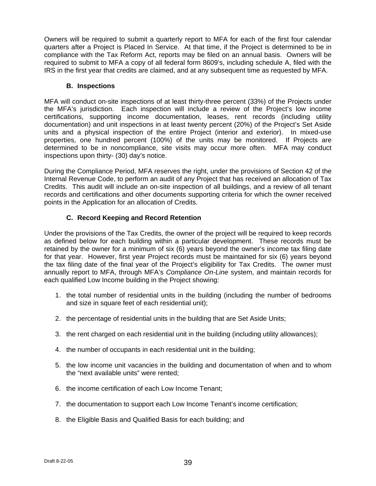Owners will be required to submit a quarterly report to MFA for each of the first four calendar quarters after a Project is Placed In Service. At that time, if the Project is determined to be in compliance with the Tax Reform Act, reports may be filed on an annual basis. Owners will be required to submit to MFA a copy of all federal form 8609's, including schedule A, filed with the IRS in the first year that credits are claimed, and at any subsequent time as requested by MFA.

### **B. Inspections**

MFA will conduct on-site inspections of at least thirty-three percent (33%) of the Projects under the MFA's jurisdiction. Each inspection will include a review of the Project's low income certifications, supporting income documentation, leases, rent records (including utility documentation) and unit inspections in at least twenty percent (20%) of the Project's Set Aside units and a physical inspection of the entire Project (interior and exterior). In mixed-use properties, one hundred percent (100%) of the units may be monitored. If Projects are determined to be in noncompliance, site visits may occur more often. MFA may conduct inspections upon thirty- (30) day's notice.

During the Compliance Period, MFA reserves the right, under the provisions of Section 42 of the Internal Revenue Code, to perform an audit of any Project that has received an allocation of Tax Credits. This audit will include an on-site inspection of all buildings, and a review of all tenant records and certifications and other documents supporting criteria for which the owner received points in the Application for an allocation of Credits.

# **C. Record Keeping and Record Retention**

Under the provisions of the Tax Credits, the owner of the project will be required to keep records as defined below for each building within a particular development. These records must be retained by the owner for a minimum of six (6) years beyond the owner's income tax filing date for that year. However, first year Project records must be maintained for six (6) years beyond the tax filing date of the final year of the Project's eligibility for Tax Credits. The owner must annually report to MFA, through MFA's *Compliance On-Line* system, and maintain records for each qualified Low Income building in the Project showing:

- 1. the total number of residential units in the building (including the number of bedrooms and size in square feet of each residential unit);
- 2. the percentage of residential units in the building that are Set Aside Units;
- 3. the rent charged on each residential unit in the building (including utility allowances);
- 4. the number of occupants in each residential unit in the building;
- 5. the low income unit vacancies in the building and documentation of when and to whom the "next available units" were rented;
- 6. the income certification of each Low Income Tenant;
- 7. the documentation to support each Low Income Tenant's income certification;
- 8. the Eligible Basis and Qualified Basis for each building; and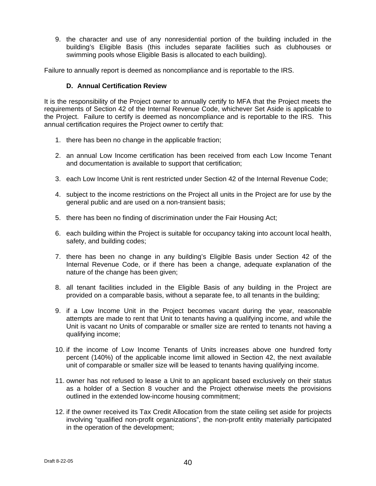9. the character and use of any nonresidential portion of the building included in the building's Eligible Basis (this includes separate facilities such as clubhouses or swimming pools whose Eligible Basis is allocated to each building).

Failure to annually report is deemed as noncompliance and is reportable to the IRS.

### **D. Annual Certification Review**

It is the responsibility of the Project owner to annually certify to MFA that the Project meets the requirements of Section 42 of the Internal Revenue Code, whichever Set Aside is applicable to the Project. Failure to certify is deemed as noncompliance and is reportable to the IRS. This annual certification requires the Project owner to certify that:

- 1. there has been no change in the applicable fraction;
- 2. an annual Low Income certification has been received from each Low Income Tenant and documentation is available to support that certification;
- 3. each Low Income Unit is rent restricted under Section 42 of the Internal Revenue Code;
- 4. subject to the income restrictions on the Project all units in the Project are for use by the general public and are used on a non-transient basis;
- 5. there has been no finding of discrimination under the Fair Housing Act;
- 6. each building within the Project is suitable for occupancy taking into account local health, safety, and building codes;
- 7. there has been no change in any building's Eligible Basis under Section 42 of the Internal Revenue Code, or if there has been a change, adequate explanation of the nature of the change has been given;
- 8. all tenant facilities included in the Eligible Basis of any building in the Project are provided on a comparable basis, without a separate fee, to all tenants in the building;
- 9. if a Low Income Unit in the Project becomes vacant during the year, reasonable attempts are made to rent that Unit to tenants having a qualifying income, and while the Unit is vacant no Units of comparable or smaller size are rented to tenants not having a qualifying income;
- 10. if the income of Low Income Tenants of Units increases above one hundred forty percent (140%) of the applicable income limit allowed in Section 42, the next available unit of comparable or smaller size will be leased to tenants having qualifying income.
- 11. owner has not refused to lease a Unit to an applicant based exclusively on their status as a holder of a Section 8 voucher and the Project otherwise meets the provisions outlined in the extended low-income housing commitment;
- 12. if the owner received its Tax Credit Allocation from the state ceiling set aside for projects involving "qualified non-profit organizations", the non-profit entity materially participated in the operation of the development;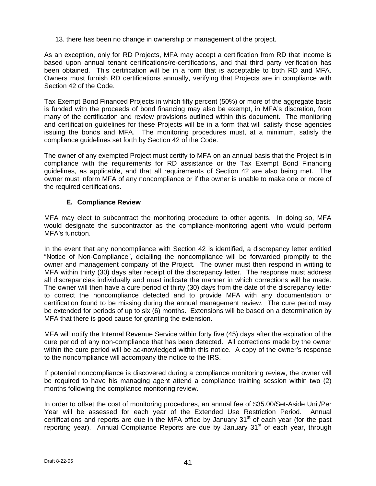13. there has been no change in ownership or management of the project.

As an exception, only for RD Projects, MFA may accept a certification from RD that income is based upon annual tenant certifications/re-certifications, and that third party verification has been obtained. This certification will be in a form that is acceptable to both RD and MFA. Owners must furnish RD certifications annually, verifying that Projects are in compliance with Section 42 of the Code.

Tax Exempt Bond Financed Projects in which fifty percent (50%) or more of the aggregate basis is funded with the proceeds of bond financing may also be exempt, in MFA's discretion, from many of the certification and review provisions outlined within this document. The monitoring and certification guidelines for these Projects will be in a form that will satisfy those agencies issuing the bonds and MFA. The monitoring procedures must, at a minimum, satisfy the compliance guidelines set forth by Section 42 of the Code.

The owner of any exempted Project must certify to MFA on an annual basis that the Project is in compliance with the requirements for RD assistance or the Tax Exempt Bond Financing guidelines, as applicable, and that all requirements of Section 42 are also being met. The owner must inform MFA of any noncompliance or if the owner is unable to make one or more of the required certifications.

## **E. Compliance Review**

MFA may elect to subcontract the monitoring procedure to other agents. In doing so, MFA would designate the subcontractor as the compliance-monitoring agent who would perform MFA's function.

In the event that any noncompliance with Section 42 is identified, a discrepancy letter entitled "Notice of Non-Compliance", detailing the noncompliance will be forwarded promptly to the owner and management company of the Project. The owner must then respond in writing to MFA within thirty (30) days after receipt of the discrepancy letter. The response must address all discrepancies individually and must indicate the manner in which corrections will be made. The owner will then have a cure period of thirty (30) days from the date of the discrepancy letter to correct the noncompliance detected and to provide MFA with any documentation or certification found to be missing during the annual management review. The cure period may be extended for periods of up to six (6) months. Extensions will be based on a determination by MFA that there is good cause for granting the extension.

MFA will notify the Internal Revenue Service within forty five (45) days after the expiration of the cure period of any non-compliance that has been detected. All corrections made by the owner within the cure period will be acknowledged within this notice. A copy of the owner's response to the noncompliance will accompany the notice to the IRS.

If potential noncompliance is discovered during a compliance monitoring review, the owner will be required to have his managing agent attend a compliance training session within two (2) months following the compliance monitoring review.

In order to offset the cost of monitoring procedures, an annual fee of \$35.00/Set-Aside Unit/Per Year will be assessed for each year of the Extended Use Restriction Period. Annual certifications and reports are due in the MFA office by January  $31<sup>st</sup>$  of each year (for the past reporting year). Annual Compliance Reports are due by January 31<sup>st</sup> of each year, through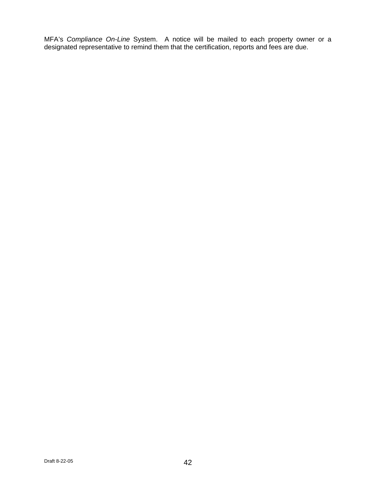MFA's *Compliance On-Line* System. A notice will be mailed to each property owner or a designated representative to remind them that the certification, reports and fees are due.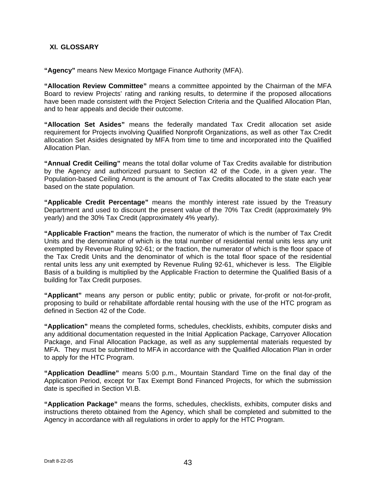### **XI. GLOSSARY**

**"Agency"** means New Mexico Mortgage Finance Authority (MFA).

**"Allocation Review Committee"** means a committee appointed by the Chairman of the MFA Board to review Projects' rating and ranking results, to determine if the proposed allocations have been made consistent with the Project Selection Criteria and the Qualified Allocation Plan, and to hear appeals and decide their outcome.

**"Allocation Set Asides"** means the federally mandated Tax Credit allocation set aside requirement for Projects involving Qualified Nonprofit Organizations, as well as other Tax Credit allocation Set Asides designated by MFA from time to time and incorporated into the Qualified Allocation Plan.

**"Annual Credit Ceiling"** means the total dollar volume of Tax Credits available for distribution by the Agency and authorized pursuant to Section 42 of the Code, in a given year. The Population-based Ceiling Amount is the amount of Tax Credits allocated to the state each year based on the state population.

**"Applicable Credit Percentage"** means the monthly interest rate issued by the Treasury Department and used to discount the present value of the 70% Tax Credit (approximately 9% yearly) and the 30% Tax Credit (approximately 4% yearly).

**"Applicable Fraction"** means the fraction, the numerator of which is the number of Tax Credit Units and the denominator of which is the total number of residential rental units less any unit exempted by Revenue Ruling 92-61; or the fraction, the numerator of which is the floor space of the Tax Credit Units and the denominator of which is the total floor space of the residential rental units less any unit exempted by Revenue Ruling 92-61, whichever is less. The Eligible Basis of a building is multiplied by the Applicable Fraction to determine the Qualified Basis of a building for Tax Credit purposes.

**"Applicant"** means any person or public entity; public or private, for-profit or not-for-profit, proposing to build or rehabilitate affordable rental housing with the use of the HTC program as defined in Section 42 of the Code.

**"Application"** means the completed forms, schedules, checklists, exhibits, computer disks and any additional documentation requested in the Initial Application Package, Carryover Allocation Package, and Final Allocation Package, as well as any supplemental materials requested by MFA. They must be submitted to MFA in accordance with the Qualified Allocation Plan in order to apply for the HTC Program.

**"Application Deadline"** means 5:00 p.m., Mountain Standard Time on the final day of the Application Period, except for Tax Exempt Bond Financed Projects, for which the submission date is specified in Section VI.B.

**"Application Package"** means the forms, schedules, checklists, exhibits, computer disks and instructions thereto obtained from the Agency, which shall be completed and submitted to the Agency in accordance with all regulations in order to apply for the HTC Program.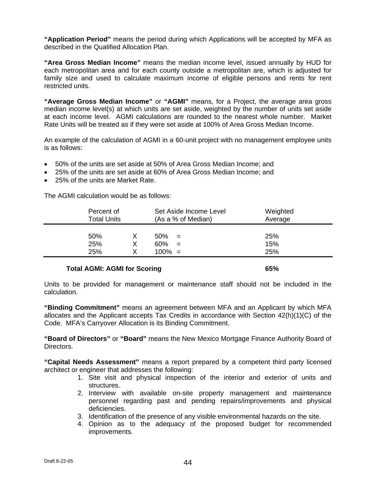**"Application Period"** means the period during which Applications will be accepted by MFA as described in the Qualified Allocation Plan.

**"Area Gross Median Income"** means the median income level, issued annually by HUD for each metropolitan area and for each county outside a metropolitan are, which is adjusted for family size and used to calculate maximum income of eligible persons and rents for rent restricted units.

**"Average Gross Median Income"** or **"AGMI"** means, for a Project, the average area gross median income level(s) at which units are set aside, weighted by the number of units set aside at each income level. AGMI calculations are rounded to the nearest whole number. Market Rate Units will be treated as if they were set aside at 100% of Area Gross Median Income.

An example of the calculation of AGMI in a 60-unit project with no management employee units is as follows:

- 50% of the units are set aside at 50% of Area Gross Median Income; and
- 25% of the units are set aside at 60% of Area Gross Median Income; and
- 25% of the units are Market Rate.

The AGMI calculation would be as follows:

| Percent of<br><b>Total Units</b> |   | Set Aside Income Level<br>(As a % of Median) | Weighted<br>Average |
|----------------------------------|---|----------------------------------------------|---------------------|
| 50%                              | х | 50%<br>$=$                                   | 25%                 |
| 25%                              | X | 60%<br>$=$                                   | 15%                 |
| 25%                              | x | $100\% =$                                    | 25%                 |
|                                  |   |                                              |                     |

#### **Total AGMI: AGMI for Scoring 65%**  65%

Units to be provided for management or maintenance staff should not be included in the calculation.

**"Binding Commitment"** means an agreement between MFA and an Applicant by which MFA allocates and the Applicant accepts Tax Credits in accordance with Section 42(h)(1)(C) of the Code. MFA's Carryover Allocation is its Binding Commitment.

**"Board of Directors"** or **"Board"** means the New Mexico Mortgage Finance Authority Board of Directors.

**"Capital Needs Assessment"** means a report prepared by a competent third party licensed architect or engineer that addresses the following:

- 1. Site visit and physical inspection of the interior and exterior of units and structures.
- 2. Interview with available on-site property management and maintenance personnel regarding past and pending repairs/improvements and physical deficiencies.
- 3. Identification of the presence of any visible environmental hazards on the site.
- 4. Opinion as to the adequacy of the proposed budget for recommended improvements.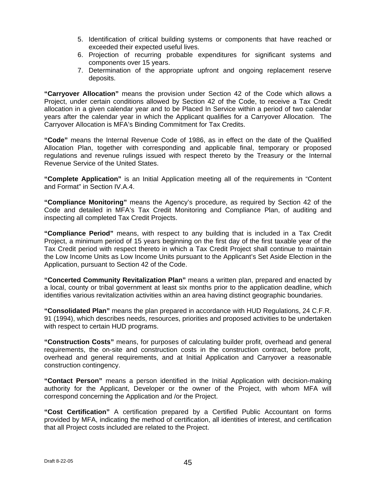- 5. Identification of critical building systems or components that have reached or exceeded their expected useful lives.
- 6. Projection of recurring probable expenditures for significant systems and components over 15 years.
- 7. Determination of the appropriate upfront and ongoing replacement reserve deposits.

**"Carryover Allocation"** means the provision under Section 42 of the Code which allows a Project, under certain conditions allowed by Section 42 of the Code, to receive a Tax Credit allocation in a given calendar year and to be Placed In Service within a period of two calendar years after the calendar year in which the Applicant qualifies for a Carryover Allocation. The Carryover Allocation is MFA's Binding Commitment for Tax Credits.

**"Code"** means the Internal Revenue Code of 1986, as in effect on the date of the Qualified Allocation Plan, together with corresponding and applicable final, temporary or proposed regulations and revenue rulings issued with respect thereto by the Treasury or the Internal Revenue Service of the United States.

**"Complete Application"** is an Initial Application meeting all of the requirements in "Content and Format" in Section IV.A.4.

**"Compliance Monitoring"** means the Agency's procedure, as required by Section 42 of the Code and detailed in MFA's Tax Credit Monitoring and Compliance Plan, of auditing and inspecting all completed Tax Credit Projects.

**"Compliance Period"** means, with respect to any building that is included in a Tax Credit Project, a minimum period of 15 years beginning on the first day of the first taxable year of the Tax Credit period with respect thereto in which a Tax Credit Project shall continue to maintain the Low Income Units as Low Income Units pursuant to the Applicant's Set Aside Election in the Application, pursuant to Section 42 of the Code.

**"Concerted Community Revitalization Plan"** means a written plan, prepared and enacted by a local, county or tribal government at least six months prior to the application deadline, which identifies various revitalization activities within an area having distinct geographic boundaries.

**"Consolidated Plan"** means the plan prepared in accordance with HUD Regulations, 24 C.F.R. 91 (1994), which describes needs, resources, priorities and proposed activities to be undertaken with respect to certain HUD programs.

**"Construction Costs"** means, for purposes of calculating builder profit, overhead and general requirements, the on-site and construction costs in the construction contract, before profit, overhead and general requirements, and at Initial Application and Carryover a reasonable construction contingency.

**"Contact Person"** means a person identified in the Initial Application with decision-making authority for the Applicant, Developer or the owner of the Project, with whom MFA will correspond concerning the Application and /or the Project.

**"Cost Certification"** A certification prepared by a Certified Public Accountant on forms provided by MFA, indicating the method of certification, all identities of interest, and certification that all Project costs included are related to the Project.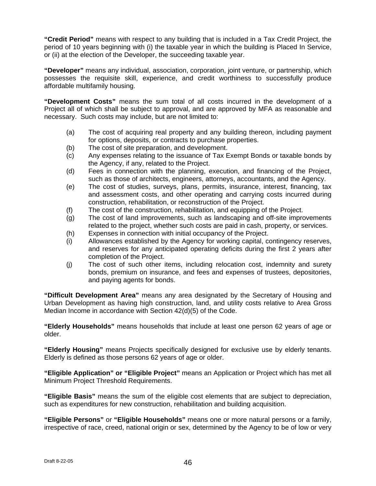**"Credit Period"** means with respect to any building that is included in a Tax Credit Project, the period of 10 years beginning with (i) the taxable year in which the building is Placed In Service, or (ii) at the election of the Developer, the succeeding taxable year.

**"Developer"** means any individual, association, corporation, joint venture, or partnership, which possesses the requisite skill, experience, and credit worthiness to successfully produce affordable multifamily housing.

**"Development Costs"** means the sum total of all costs incurred in the development of a Project all of which shall be subject to approval, and are approved by MFA as reasonable and necessary. Such costs may include, but are not limited to:

- (a) The cost of acquiring real property and any building thereon, including payment for options, deposits, or contracts to purchase properties.
- (b) The cost of site preparation, and development.
- (c) Any expenses relating to the issuance of Tax Exempt Bonds or taxable bonds by the Agency, if any, related to the Project.
- (d) Fees in connection with the planning, execution, and financing of the Project, such as those of architects, engineers, attorneys, accountants, and the Agency.
- (e) The cost of studies, surveys, plans, permits, insurance, interest, financing, tax and assessment costs, and other operating and carrying costs incurred during construction, rehabilitation, or reconstruction of the Project.
- (f) The cost of the construction, rehabilitation, and equipping of the Project.
- (g) The cost of land improvements, such as landscaping and off-site improvements related to the project, whether such costs are paid in cash, property, or services.
- (h) Expenses in connection with initial occupancy of the Project.
- (i) Allowances established by the Agency for working capital, contingency reserves, and reserves for any anticipated operating deficits during the first 2 years after completion of the Project.
- (j) The cost of such other items, including relocation cost, indemnity and surety bonds, premium on insurance, and fees and expenses of trustees, depositories, and paying agents for bonds.

**"Difficult Development Area"** means any area designated by the Secretary of Housing and Urban Development as having high construction, land, and utility costs relative to Area Gross Median Income in accordance with Section 42(d)(5) of the Code.

**"Elderly Households"** means households that include at least one person 62 years of age or older.

**"Elderly Housing"** means Projects specifically designed for exclusive use by elderly tenants. Elderly is defined as those persons 62 years of age or older.

**"Eligible Application" or "Eligible Project"** means an Application or Project which has met all Minimum Project Threshold Requirements.

**"Eligible Basis"** means the sum of the eligible cost elements that are subject to depreciation, such as expenditures for new construction, rehabilitation and building acquisition.

**"Eligible Persons"** or **"Eligible Households"** means one or more natural persons or a family, irrespective of race, creed, national origin or sex, determined by the Agency to be of low or very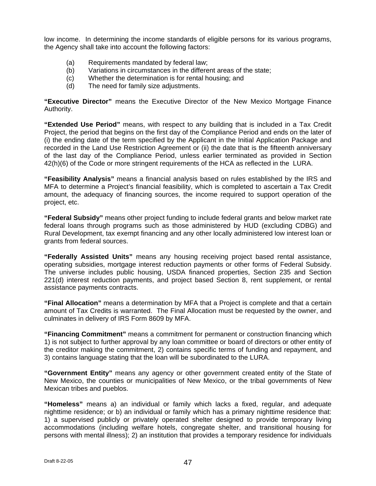low income. In determining the income standards of eligible persons for its various programs, the Agency shall take into account the following factors:

- (a) Requirements mandated by federal law;
- (b) Variations in circumstances in the different areas of the state;
- (c) Whether the determination is for rental housing; and
- (d) The need for family size adjustments.

**"Executive Director"** means the Executive Director of the New Mexico Mortgage Finance Authority.

**"Extended Use Period"** means, with respect to any building that is included in a Tax Credit Project, the period that begins on the first day of the Compliance Period and ends on the later of (i) the ending date of the term specified by the Applicant in the Initial Application Package and recorded in the Land Use Restriction Agreement or (ii) the date that is the fifteenth anniversary of the last day of the Compliance Period, unless earlier terminated as provided in Section 42(h)(6) of the Code or more stringent requirements of the HCA as reflected in the LURA.

**"Feasibility Analysis"** means a financial analysis based on rules established by the IRS and MFA to determine a Project's financial feasibility, which is completed to ascertain a Tax Credit amount, the adequacy of financing sources, the income required to support operation of the project, etc.

**"Federal Subsidy"** means other project funding to include federal grants and below market rate federal loans through programs such as those administered by HUD (excluding CDBG) and Rural Development, tax exempt financing and any other locally administered low interest loan or grants from federal sources.

**"Federally Assisted Units"** means any housing receiving project based rental assistance, operating subsidies, mortgage interest reduction payments or other forms of Federal Subsidy. The universe includes public housing, USDA financed properties, Section 235 and Section 221(d) interest reduction payments, and project based Section 8, rent supplement, or rental assistance payments contracts.

**"Final Allocation"** means a determination by MFA that a Project is complete and that a certain amount of Tax Credits is warranted. The Final Allocation must be requested by the owner, and culminates in delivery of IRS Form 8609 by MFA.

**"Financing Commitment"** means a commitment for permanent or construction financing which 1) is not subject to further approval by any loan committee or board of directors or other entity of the creditor making the commitment, 2) contains specific terms of funding and repayment, and 3) contains language stating that the loan will be subordinated to the LURA.

**"Government Entity"** means any agency or other government created entity of the State of New Mexico, the counties or municipalities of New Mexico, or the tribal governments of New Mexican tribes and pueblos.

**"Homeless"** means a) an individual or family which lacks a fixed, regular, and adequate nighttime residence; or b) an individual or family which has a primary nighttime residence that: 1) a supervised publicly or privately operated shelter designed to provide temporary living accommodations (including welfare hotels, congregate shelter, and transitional housing for persons with mental illness); 2) an institution that provides a temporary residence for individuals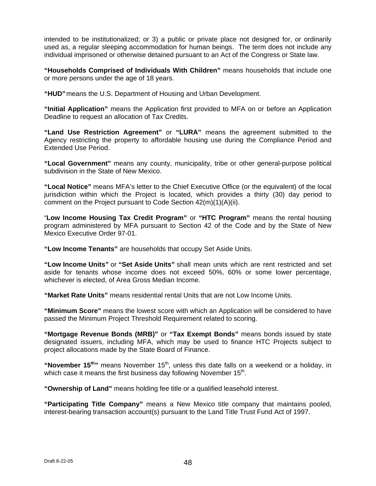intended to be institutionalized; or 3) a public or private place not designed for, or ordinarily used as, a regular sleeping accommodation for human beings. The term does not include any individual imprisoned or otherwise detained pursuant to an Act of the Congress or State law.

**"Households Comprised of Individuals With Children"** means households that include one or more persons under the age of 18 years.

**"HUD"** means the U.S. Department of Housing and Urban Development.

**"Initial Application"** means the Application first provided to MFA on or before an Application Deadline to request an allocation of Tax Credits.

**"Land Use Restriction Agreement"** or **"LURA"** means the agreement submitted to the Agency restricting the property to affordable housing use during the Compliance Period and Extended Use Period.

**"Local Government"** means any county, municipality, tribe or other general-purpose political subdivision in the State of New Mexico.

**"Local Notice"** means MFA's letter to the Chief Executive Office (or the equivalent) of the local jurisdiction within which the Project is located, which provides a thirty (30) day period to comment on the Project pursuant to Code Section 42(m)(1)(A)(ii).

"**Low Income Housing Tax Credit Program"** or **"HTC Program"** means the rental housing program administered by MFA pursuant to Section 42 of the Code and by the State of New Mexico Executive Order 97-01.

**"Low Income Tenants"** are households that occupy Set Aside Units.

**"Low Income Units"** or **"Set Aside Units"** shall mean units which are rent restricted and set aside for tenants whose income does not exceed 50%, 60% or some lower percentage, whichever is elected, of Area Gross Median Income.

**"Market Rate Units"** means residential rental Units that are not Low Income Units.

**"Minimum Score"** means the lowest score with which an Application will be considered to have passed the Minimum Project Threshold Requirement related to scoring.

**"Mortgage Revenue Bonds (MRB)"** or **"Tax Exempt Bonds"** means bonds issued by state designated issuers, including MFA, which may be used to finance HTC Projects subject to project allocations made by the State Board of Finance.

"November 15<sup>th</sup>" means November 15<sup>th</sup>, unless this date falls on a weekend or a holiday, in which case it means the first business day following November  $15<sup>th</sup>$ .

**"Ownership of Land"** means holding fee title or a qualified leasehold interest.

**"Participating Title Company"** means a New Mexico title company that maintains pooled, interest-bearing transaction account(s) pursuant to the Land Title Trust Fund Act of 1997.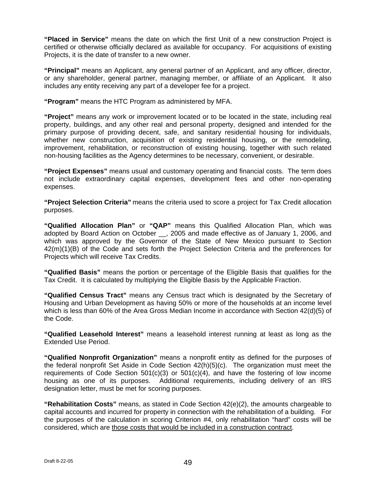**"Placed in Service"** means the date on which the first Unit of a new construction Project is certified or otherwise officially declared as available for occupancy. For acquisitions of existing Projects, it is the date of transfer to a new owner.

**"Principal"** means an Applicant, any general partner of an Applicant, and any officer, director, or any shareholder, general partner, managing member, or affiliate of an Applicant. It also includes any entity receiving any part of a developer fee for a project.

**"Program"** means the HTC Program as administered by MFA.

**"Project"** means any work or improvement located or to be located in the state, including real property, buildings, and any other real and personal property, designed and intended for the primary purpose of providing decent, safe, and sanitary residential housing for individuals, whether new construction, acquisition of existing residential housing, or the remodeling, improvement, rehabilitation, or reconstruction of existing housing, together with such related non-housing facilities as the Agency determines to be necessary, convenient, or desirable.

**"Project Expenses"** means usual and customary operating and financial costs. The term does not include extraordinary capital expenses, development fees and other non-operating expenses.

**"Project Selection Criteria"** means the criteria used to score a project for Tax Credit allocation purposes.

**"Qualified Allocation Plan"** or **"QAP"** means this Qualified Allocation Plan, which was adopted by Board Action on October \_\_, 2005 and made effective as of January 1, 2006, and which was approved by the Governor of the State of New Mexico pursuant to Section 42(m)(1)(B) of the Code and sets forth the Project Selection Criteria and the preferences for Projects which will receive Tax Credits.

**"Qualified Basis"** means the portion or percentage of the Eligible Basis that qualifies for the Tax Credit. It is calculated by multiplying the Eligible Basis by the Applicable Fraction.

**"Qualified Census Tract"** means any Census tract which is designated by the Secretary of Housing and Urban Development as having 50% or more of the households at an income level which is less than 60% of the Area Gross Median Income in accordance with Section 42(d)(5) of the Code.

**"Qualified Leasehold Interest"** means a leasehold interest running at least as long as the Extended Use Period.

**"Qualified Nonprofit Organization"** means a nonprofit entity as defined for the purposes of the federal nonprofit Set Aside in Code Section 42(h)(5)(c). The organization must meet the requirements of Code Section  $501(c)(3)$  or  $501(c)(4)$ , and have the fostering of low income housing as one of its purposes. Additional requirements, including delivery of an IRS designation letter, must be met for scoring purposes.

**"Rehabilitation Costs"** means, as stated in Code Section 42(e)(2), the amounts chargeable to capital accounts and incurred for property in connection with the rehabilitation of a building. For the purposes of the calculation in scoring Criterion #4, only rehabilitation "hard" costs will be considered, which are those costs that would be included in a construction contract.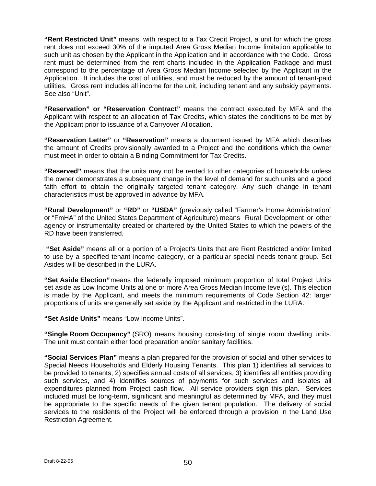**"Rent Restricted Unit"** means, with respect to a Tax Credit Project, a unit for which the gross rent does not exceed 30% of the imputed Area Gross Median Income limitation applicable to such unit as chosen by the Applicant in the Application and in accordance with the Code. Gross rent must be determined from the rent charts included in the Application Package and must correspond to the percentage of Area Gross Median Income selected by the Applicant in the Application. It includes the cost of utilities, and must be reduced by the amount of tenant-paid utilities. Gross rent includes all income for the unit, including tenant and any subsidy payments. See also "Unit".

**"Reservation" or "Reservation Contract"** means the contract executed by MFA and the Applicant with respect to an allocation of Tax Credits, which states the conditions to be met by the Applicant prior to issuance of a Carryover Allocation.

**"Reservation Letter"** or **"Reservation"** means a document issued by MFA which describes the amount of Credits provisionally awarded to a Project and the conditions which the owner must meet in order to obtain a Binding Commitment for Tax Credits.

**"Reserved"** means that the units may not be rented to other categories of households unless the owner demonstrates a subsequent change in the level of demand for such units and a good faith effort to obtain the originally targeted tenant category. Any such change in tenant characteristics must be approved in advance by MFA.

**"Rural Development"** or **"RD"** or **"USDA"** (previously called "Farmer's Home Administration" or "FmHA" of the United States Department of Agriculture) means Rural Development or other agency or instrumentality created or chartered by the United States to which the powers of the RD have been transferred.

 **"Set Aside"** means all or a portion of a Project's Units that are Rent Restricted and/or limited to use by a specified tenant income category, or a particular special needs tenant group. Set Asides will be described in the LURA.

**"Set Aside Election"** means the federally imposed minimum proportion of total Project Units set aside as Low Income Units at one or more Area Gross Median Income level(s). This election is made by the Applicant, and meets the minimum requirements of Code Section 42: larger proportions of units are generally set aside by the Applicant and restricted in the LURA.

**"Set Aside Units"** means "Low Income Units".

**"Single Room Occupancy"** (SRO) means housing consisting of single room dwelling units. The unit must contain either food preparation and/or sanitary facilities.

**"Social Services Plan"** means a plan prepared for the provision of social and other services to Special Needs Households and Elderly Housing Tenants. This plan 1) identifies all services to be provided to tenants, 2) specifies annual costs of all services, 3) identifies all entities providing such services, and 4) identifies sources of payments for such services and isolates all expenditures planned from Project cash flow. All service providers sign this plan. Services included must be long-term, significant and meaningful as determined by MFA, and they must be appropriate to the specific needs of the given tenant population. The delivery of social services to the residents of the Project will be enforced through a provision in the Land Use Restriction Agreement.